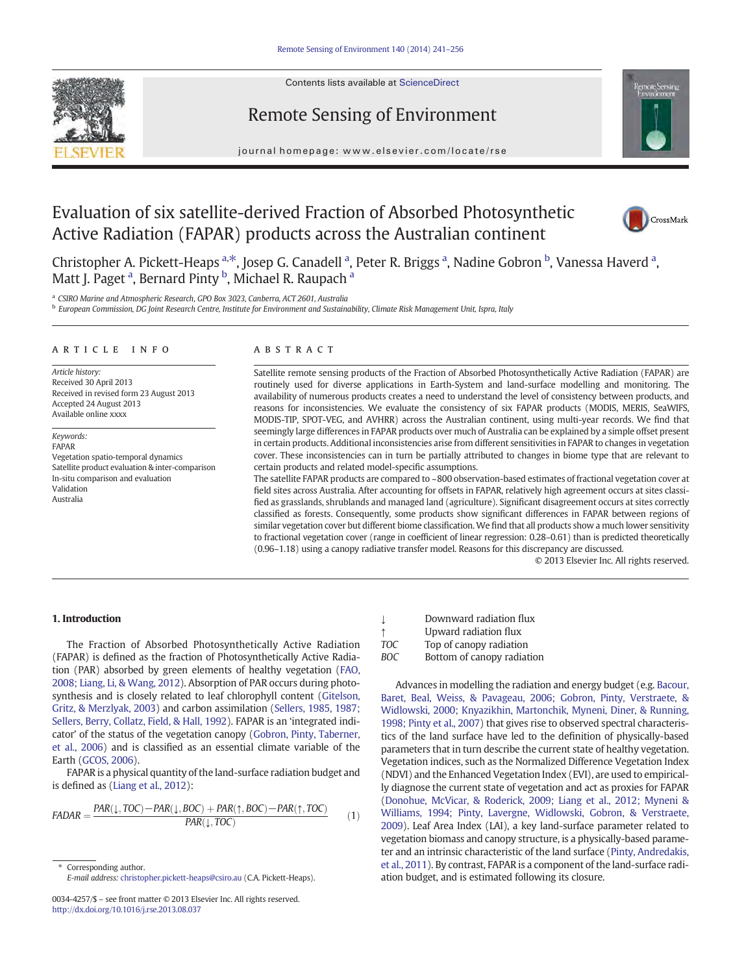Contents lists available at ScienceDirect

<span id="page-0-0"></span>





journal homepage: www.elsevier.com/locate/rse

# Evaluation of six satellite-derived Fraction of Absorbed Photosynthetic Active Radiation (FAPAR) products across the Australian continent



Christopher A. Pickett-Heaps <sup>a,\*</sup>, Josep G. Canadell <sup>a</sup>, Peter R. Briggs <sup>a</sup>, Nadine Gobron <sup>b</sup>, Vanessa Haverd <sup>a</sup>, Matt J. Paget <sup>a</sup>, Bernard Pinty <sup>b</sup>, Michael R. Raupach <sup>a</sup>

<sup>a</sup> CSIRO Marine and Atmospheric Research, GPO Box 3023, Canberra, ACT 2601, Australia

<sup>b</sup> European Commission, DG Joint Research Centre, Institute for Environment and Sustainability, Climate Risk Management Unit, Ispra, Italy

#### article info abstract

Article history: Received 30 April 2013 Received in revised form 23 August 2013 Accepted 24 August 2013 Available online xxxx

Keywords: FAPAR Vegetation spatio-temporal dynamics Satellite product evaluation & inter-comparison In-situ comparison and evaluation Validation Australia

Satellite remote sensing products of the Fraction of Absorbed Photosynthetically Active Radiation (FAPAR) are routinely used for diverse applications in Earth-System and land-surface modelling and monitoring. The availability of numerous products creates a need to understand the level of consistency between products, and reasons for inconsistencies. We evaluate the consistency of six FAPAR products (MODIS, MERIS, SeaWIFS, MODIS-TIP, SPOT-VEG, and AVHRR) across the Australian continent, using multi-year records. We find that seemingly large differences in FAPAR products over much of Australia can be explained by a simple offset present in certain products. Additional inconsistencies arise from different sensitivities in FAPAR to changes in vegetation cover. These inconsistencies can in turn be partially attributed to changes in biome type that are relevant to certain products and related model-specific assumptions.

The satellite FAPAR products are compared to ~800 observation-based estimates of fractional vegetation cover at field sites across Australia. After accounting for offsets in FAPAR, relatively high agreement occurs at sites classified as grasslands, shrublands and managed land (agriculture). Significant disagreement occurs at sites correctly classified as forests. Consequently, some products show significant differences in FAPAR between regions of similar vegetation cover but different biome classification. We find that all products show a much lower sensitivity to fractional vegetation cover (range in coefficient of linear regression: 0.28–0.61) than is predicted theoretically (0.96–1.18) using a canopy radiative transfer model. Reasons for this discrepancy are discussed.

© 2013 Elsevier Inc. All rights reserved.

# 1. Introduction

The Fraction of Absorbed Photosynthetically Active Radiation (FAPAR) is defined as the fraction of Photosynthetically Active Radiation (PAR) absorbed by green elements of healthy vegetation [\(FAO,](#page-14-0) [2008; Liang, Li, & Wang, 2012\)](#page-14-0). Absorption of PAR occurs during photosynthesis and is closely related to leaf chlorophyll content [\(Gitelson,](#page-14-0) [Gritz, & Merzlyak, 2003\)](#page-14-0) and carbon assimilation ([Sellers, 1985, 1987;](#page-15-0) [Sellers, Berry, Collatz, Field, & Hall, 1992\)](#page-15-0). FAPAR is an 'integrated indicator' of the status of the vegetation canopy ([Gobron, Pinty, Taberner,](#page-14-0) [et al., 2006\)](#page-14-0) and is classified as an essential climate variable of the Earth [\(GCOS, 2006\)](#page-14-0).

FAPAR is a physical quantity of the land-surface radiation budget and is defined as [\(Liang et al., 2012\)](#page-14-0):

$$
FADAR = \frac{PAR(\downarrow, TOC) - PAR(\downarrow, BOC) + PAR(\uparrow, BOC) - PAR(\uparrow, TOC)}{PAR(\downarrow, TOC)} \tag{1}
$$

|      | Downward radiation flux    |
|------|----------------------------|
|      | Upward radiation flux      |
| TOC. | Top of canopy radiation    |
| BOC. | Bottom of canopy radiation |

Advances in modelling the radiation and energy budget (e.g. [Bacour,](#page-14-0) [Baret, Beal, Weiss, & Pavageau, 2006; Gobron, Pinty, Verstraete, &](#page-14-0) [Widlowski, 2000; Knyazikhin, Martonchik, Myneni, Diner, & Running,](#page-14-0) [1998; Pinty et al., 2007](#page-14-0)) that gives rise to observed spectral characteristics of the land surface have led to the definition of physically-based parameters that in turn describe the current state of healthy vegetation. Vegetation indices, such as the Normalized Difference Vegetation Index (NDVI) and the Enhanced Vegetation Index (EVI), are used to empirically diagnose the current state of vegetation and act as proxies for FAPAR [\(Donohue, McVicar, & Roderick, 2009; Liang et al., 2012; Myneni &](#page-14-0) [Williams, 1994; Pinty, Lavergne, Widlowski, Gobron, & Verstraete,](#page-14-0) [2009](#page-14-0)). Leaf Area Index (LAI), a key land-surface parameter related to vegetation biomass and canopy structure, is a physically-based parameter and an intrinsic characteristic of the land surface ([Pinty, Andredakis,](#page-15-0) [et al., 2011](#page-15-0)). By contrast, FAPAR is a component of the land-surface radiation budget, and is estimated following its closure.

Corresponding author. E-mail address: [christopher.pickett-heaps@csiro.au](mailto:christopher.pickett-heaps@csiro.au) (C.A. Pickett-Heaps).

<sup>0034-4257/\$</sup> – see front matter © 2013 Elsevier Inc. All rights reserved. <http://dx.doi.org/10.1016/j.rse.2013.08.037>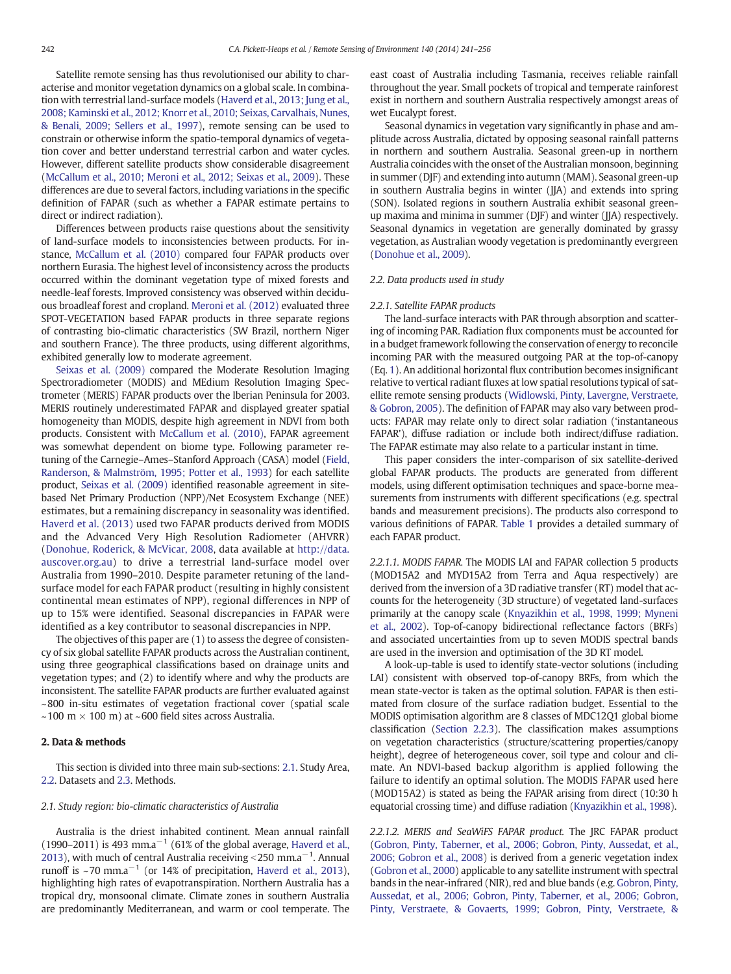Satellite remote sensing has thus revolutionised our ability to characterise and monitor vegetation dynamics on a global scale. In combination with terrestrial land-surface models [\(Haverd et al., 2013; Jung et al.,](#page-15-0) [2008; Kaminski et al., 2012; Knorr et al., 2010; Seixas, Carvalhais, Nunes,](#page-15-0) [& Benali, 2009; Sellers et al., 1997\)](#page-15-0), remote sensing can be used to constrain or otherwise inform the spatio-temporal dynamics of vegetation cover and better understand terrestrial carbon and water cycles. However, different satellite products show considerable disagreement [\(McCallum et al., 2010; Meroni et al., 2012; Seixas et al., 2009\)](#page-15-0). These differences are due to several factors, including variations in the specific definition of FAPAR (such as whether a FAPAR estimate pertains to direct or indirect radiation).

Differences between products raise questions about the sensitivity of land-surface models to inconsistencies between products. For instance, [McCallum et al. \(2010\)](#page-15-0) compared four FAPAR products over northern Eurasia. The highest level of inconsistency across the products occurred within the dominant vegetation type of mixed forests and needle-leaf forests. Improved consistency was observed within deciduous broadleaf forest and cropland. [Meroni et al. \(2012\)](#page-15-0) evaluated three SPOT-VEGETATION based FAPAR products in three separate regions of contrasting bio-climatic characteristics (SW Brazil, northern Niger and southern France). The three products, using different algorithms, exhibited generally low to moderate agreement.

[Seixas et al. \(2009\)](#page-15-0) compared the Moderate Resolution Imaging Spectroradiometer (MODIS) and MEdium Resolution Imaging Spectrometer (MERIS) FAPAR products over the Iberian Peninsula for 2003. MERIS routinely underestimated FAPAR and displayed greater spatial homogeneity than MODIS, despite high agreement in NDVI from both products. Consistent with [McCallum et al. \(2010\),](#page-15-0) FAPAR agreement was somewhat dependent on biome type. Following parameter retuning of the Carnegie–Ames–Stanford Approach (CASA) model [\(Field,](#page-14-0) [Randerson, & Malmström, 1995; Potter et al., 1993](#page-14-0)) for each satellite product, [Seixas et al. \(2009\)](#page-15-0) identified reasonable agreement in sitebased Net Primary Production (NPP)/Net Ecosystem Exchange (NEE) estimates, but a remaining discrepancy in seasonality was identified. [Haverd et al. \(2013\)](#page-15-0) used two FAPAR products derived from MODIS and the Advanced Very High Resolution Radiometer (AHVRR) [\(Donohue, Roderick, & McVicar, 2008](#page-14-0), data available at [http://data.](http://data.auscover.org.au) [auscover.org.au\)](http://data.auscover.org.au) to drive a terrestrial land-surface model over Australia from 1990–2010. Despite parameter retuning of the landsurface model for each FAPAR product (resulting in highly consistent continental mean estimates of NPP), regional differences in NPP of up to 15% were identified. Seasonal discrepancies in FAPAR were identified as a key contributor to seasonal discrepancies in NPP.

The objectives of this paper are (1) to assess the degree of consistency of six global satellite FAPAR products across the Australian continent, using three geographical classifications based on drainage units and vegetation types; and (2) to identify where and why the products are inconsistent. The satellite FAPAR products are further evaluated against ~800 in-situ estimates of vegetation fractional cover (spatial scale  $\sim$ 100 m  $\times$  100 m) at ~600 field sites across Australia.

#### 2. Data & methods

This section is divided into three main sub-sections: 2.1. Study Area, 2.2. Datasets and [2.3](#page-4-0). Methods.

# 2.1. Study region: bio-climatic characteristics of Australia

Australia is the driest inhabited continent. Mean annual rainfall (1990–2011) is 493 mm.a<sup> $-1$ </sup> (61% of the global average, [Haverd et al.,](#page-15-0) [2013\)](#page-15-0), with much of central Australia receiving <250 mm.a<sup> $-1$ </sup>. Annual runoff is ~70 mm.a<sup> $-1$ </sup> (or 14% of precipitation, [Haverd et al., 2013\)](#page-15-0), highlighting high rates of evapotranspiration. Northern Australia has a tropical dry, monsoonal climate. Climate zones in southern Australia are predominantly Mediterranean, and warm or cool temperate. The east coast of Australia including Tasmania, receives reliable rainfall throughout the year. Small pockets of tropical and temperate rainforest exist in northern and southern Australia respectively amongst areas of wet Eucalypt forest.

Seasonal dynamics in vegetation vary significantly in phase and amplitude across Australia, dictated by opposing seasonal rainfall patterns in northern and southern Australia. Seasonal green-up in northern Australia coincides with the onset of the Australian monsoon, beginning in summer (DJF) and extending into autumn (MAM). Seasonal green-up in southern Australia begins in winter (JJA) and extends into spring (SON). Isolated regions in southern Australia exhibit seasonal greenup maxima and minima in summer (DJF) and winter (JJA) respectively. Seasonal dynamics in vegetation are generally dominated by grassy vegetation, as Australian woody vegetation is predominantly evergreen [\(Donohue et al., 2009](#page-14-0)).

# 2.2. Data products used in study

#### 2.2.1. Satellite FAPAR products

The land-surface interacts with PAR through absorption and scattering of incoming PAR. Radiation flux components must be accounted for in a budget framework following the conservation of energy to reconcile incoming PAR with the measured outgoing PAR at the top-of-canopy (Eq. [1\)](#page-0-0). An additional horizontal flux contribution becomes insignificant relative to vertical radiant fluxes at low spatial resolutions typical of satellite remote sensing products [\(Widlowski, Pinty, Lavergne, Verstraete,](#page-15-0) [& Gobron, 2005\)](#page-15-0). The definition of FAPAR may also vary between products: FAPAR may relate only to direct solar radiation ('instantaneous FAPAR'), diffuse radiation or include both indirect/diffuse radiation. The FAPAR estimate may also relate to a particular instant in time.

This paper considers the inter-comparison of six satellite-derived global FAPAR products. The products are generated from different models, using different optimisation techniques and space-borne measurements from instruments with different specifications (e.g. spectral bands and measurement precisions). The products also correspond to various definitions of FAPAR. [Table 1](#page-2-0) provides a detailed summary of each FAPAR product.

2.2.1.1. MODIS FAPAR. The MODIS LAI and FAPAR collection 5 products (MOD15A2 and MYD15A2 from Terra and Aqua respectively) are derived from the inversion of a 3D radiative transfer (RT) model that accounts for the heterogeneity (3D structure) of vegetated land-surfaces primarily at the canopy scale [\(Knyazikhin et al., 1998, 1999; Myneni](#page-15-0) [et al., 2002](#page-15-0)). Top-of-canopy bidirectional reflectance factors (BRFs) and associated uncertainties from up to seven MODIS spectral bands are used in the inversion and optimisation of the 3D RT model.

A look-up-table is used to identify state-vector solutions (including LAI) consistent with observed top-of-canopy BRFs, from which the mean state-vector is taken as the optimal solution. FAPAR is then estimated from closure of the surface radiation budget. Essential to the MODIS optimisation algorithm are 8 classes of MDC12Q1 global biome classification [\(Section 2.2.3\)](#page-4-0). The classification makes assumptions on vegetation characteristics (structure/scattering properties/canopy height), degree of heterogeneous cover, soil type and colour and climate. An NDVI-based backup algorithm is applied following the failure to identify an optimal solution. The MODIS FAPAR used here (MOD15A2) is stated as being the FAPAR arising from direct (10:30 h equatorial crossing time) and diffuse radiation ([Knyazikhin et al., 1998](#page-15-0)).

2.2.1.2. MERIS and SeaWiFS FAPAR product. The JRC FAPAR product [\(Gobron, Pinty, Taberner, et al., 2006; Gobron, Pinty, Aussedat, et al.,](#page-14-0) [2006; Gobron et al., 2008\)](#page-14-0) is derived from a generic vegetation index [\(Gobron et al., 2000\)](#page-15-0) applicable to any satellite instrument with spectral bands in the near-infrared (NIR), red and blue bands (e.g. [Gobron, Pinty,](#page-14-0) [Aussedat, et al., 2006; Gobron, Pinty, Taberner, et al., 2006; Gobron,](#page-14-0) [Pinty, Verstraete, & Govaerts, 1999; Gobron, Pinty, Verstraete, &](#page-14-0)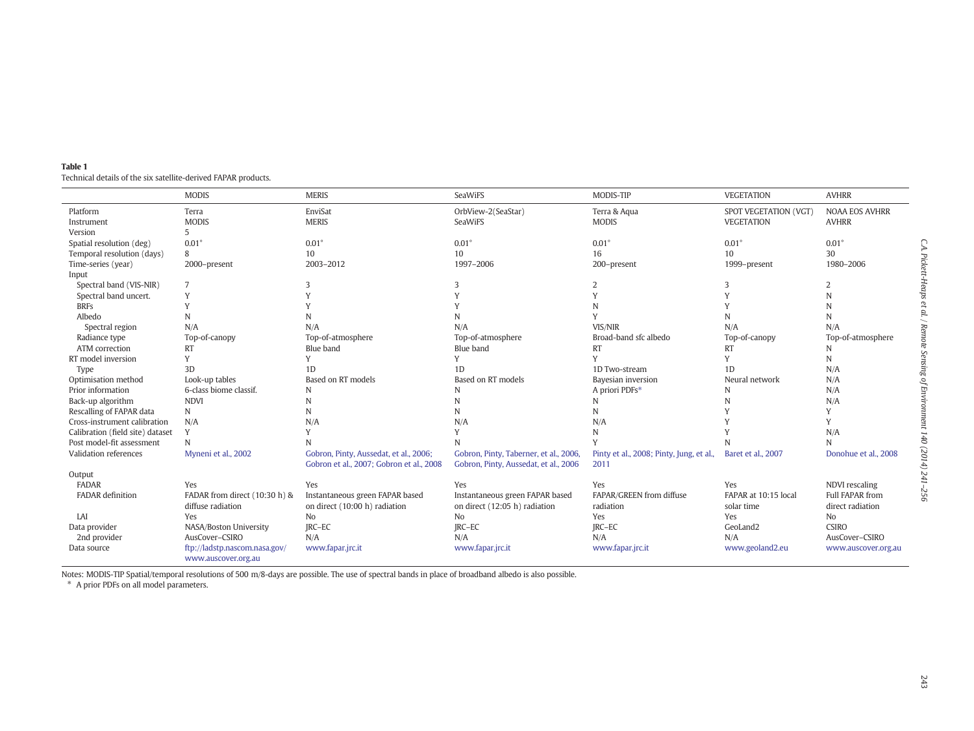<span id="page-2-0"></span>

| <b>Table 1</b>                                                 |
|----------------------------------------------------------------|
| Technical details of the six satellite-derived FAPAR products. |

|                                  | <b>MODIS</b>                                         | <b>MERIS</b>                             | SeaWiFS                                | MODIS-TIP                                | <b>VEGETATION</b>     | <b>AVHRR</b>           |
|----------------------------------|------------------------------------------------------|------------------------------------------|----------------------------------------|------------------------------------------|-----------------------|------------------------|
| Platform                         | Terra                                                | EnviSat                                  | OrbView-2(SeaStar)                     | Terra & Aqua                             | SPOT VEGETATION (VGT) | <b>NOAA EOS AVHRR</b>  |
| Instrument                       | <b>MODIS</b>                                         | <b>MERIS</b>                             | SeaWiFS                                | <b>MODIS</b>                             | <b>VEGETATION</b>     | <b>AVHRR</b>           |
| Version                          |                                                      |                                          |                                        |                                          |                       |                        |
| Spatial resolution (deg)         | $0.01^\circ$                                         | $0.01^\circ$                             | $0.01^\circ$                           | $0.01^{\circ}$                           | $0.01^{\circ}$        | 0.01 <sup>°</sup>      |
| Temporal resolution (days)       | 8                                                    | 10                                       | 10                                     | 16                                       | 10                    | 30                     |
| Time-series (year)               | 2000-present                                         | 2003-2012                                | 1997-2006                              | 200-present                              | 1999-present          | 1980-2006              |
| Input                            |                                                      |                                          |                                        |                                          |                       |                        |
| Spectral band (VIS-NIR)          |                                                      | 3                                        | 3                                      |                                          | 3                     | 2                      |
| Spectral band uncert.            | Y                                                    | Y                                        | <sup>V</sup>                           |                                          |                       | N                      |
| <b>BRFs</b>                      | $\mathbf{V}$                                         |                                          |                                        |                                          |                       | N                      |
| Albedo                           | N                                                    |                                          |                                        |                                          | N                     | N                      |
| Spectral region                  | N/A                                                  | N/A                                      | N/A                                    | VIS/NIR                                  | N/A                   | N/A                    |
| Radiance type                    | Top-of-canopy                                        | Top-of-atmosphere                        | Top-of-atmosphere                      | Broad-band sfc albedo                    | Top-of-canopy         | Top-of-atmosphere      |
| ATM correction                   | <b>RT</b>                                            | Blue band                                | Blue band                              | <b>RT</b>                                | <b>RT</b>             | N                      |
| RT model inversion               |                                                      |                                          |                                        |                                          |                       | N                      |
| Type                             | 3D                                                   | 1D                                       | 1 <sub>D</sub>                         | 1D Two-stream                            | 1D                    | N/A                    |
| Optimisation method              | Look-up tables                                       | Based on RT models                       | Based on RT models                     | Bayesian inversion                       | Neural network        | N/A                    |
| Prior information                | 6-class biome classif.                               |                                          |                                        | A priori PDFs*                           | N                     | N/A                    |
| Back-up algorithm                | <b>NDVI</b>                                          | N                                        |                                        | N                                        | N                     | N/A                    |
| Rescalling of FAPAR data         | N                                                    | N                                        |                                        |                                          |                       | V                      |
| Cross-instrument calibration     | N/A                                                  | N/A                                      | N/A                                    | N/A                                      |                       | $\mathbf{v}$           |
| Calibration (field site) dataset | Y                                                    |                                          |                                        | N                                        |                       | N/A                    |
| Post model-fit assessment        | N                                                    |                                          |                                        |                                          | N                     | $\mathbb N$            |
| Validation references            | Myneni et al., 2002                                  | Gobron, Pinty, Aussedat, et al., 2006;   | Gobron, Pinty, Taberner, et al., 2006, | Pinty et al., 2008; Pinty, Jung, et al., | Baret et al., 2007    | Donohue et al., 2008   |
|                                  |                                                      | Gobron et al., 2007; Gobron et al., 2008 | Gobron, Pinty, Aussedat, et al., 2006  | 2011                                     |                       |                        |
| Output                           |                                                      |                                          |                                        |                                          |                       |                        |
| <b>FADAR</b>                     | Yes                                                  | Yes                                      | Yes                                    | Yes                                      | Yes                   | NDVI rescaling         |
| <b>FADAR</b> definition          | FADAR from direct (10:30 h) &                        | Instantaneous green FAPAR based          | Instantaneous green FAPAR based        | FAPAR/GREEN from diffuse                 | FAPAR at 10:15 local  | <b>Full FAPAR from</b> |
|                                  | diffuse radiation                                    | on direct (10:00 h) radiation            | on direct (12:05 h) radiation          | radiation                                | solar time            | direct radiation       |
| LAI                              | Yes                                                  | No                                       | N <sub>o</sub>                         | Yes                                      | Yes                   | N <sub>o</sub>         |
| Data provider                    | NASA/Boston University                               | JRC-EC                                   | IRC-EC                                 | IRC-EC                                   | GeoLand2              | <b>CSIRO</b>           |
| 2nd provider                     | AusCover-CSIRO                                       | N/A                                      | N/A                                    | N/A                                      | N/A                   | AusCover-CSIRO         |
| Data source                      | ftp://ladstp.nascom.nasa.gov/<br>www.auscover.org.au | www.fapar.jrc.it                         | www.fapar.jrc.it                       | www.fapar.jrc.it                         | www.geoland2.eu       | www.auscover.org.au    |

Notes: MODIS-TIP Spatial/temporal resolutions of 500 m/8-days are possible. The use of spectral bands in place of broadband albedo is also possible. ⁎ A prior PDFs on all model parameters.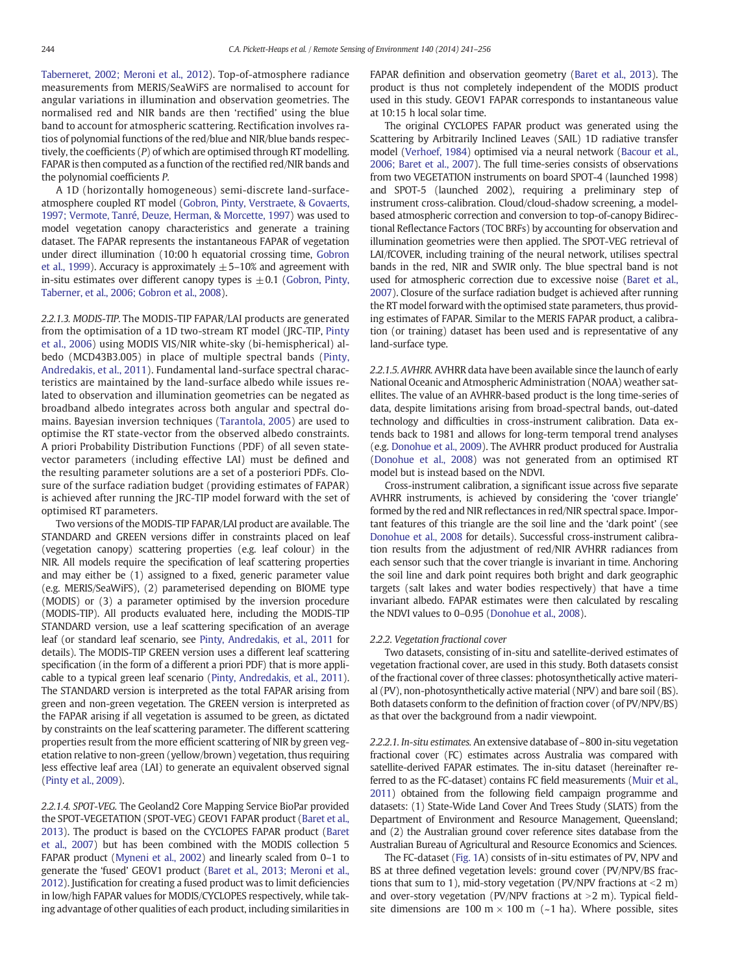<span id="page-3-0"></span>[Taberneret, 2002; Meroni et al., 2012\)](#page-14-0). Top-of-atmosphere radiance measurements from MERIS/SeaWiFS are normalised to account for angular variations in illumination and observation geometries. The normalised red and NIR bands are then 'rectified' using the blue band to account for atmospheric scattering. Rectification involves ratios of polynomial functions of the red/blue and NIR/blue bands respectively, the coefficients (P) of which are optimised through RT modelling. FAPAR is then computed as a function of the rectified red/NIR bands and the polynomial coefficients P.

A 1D (horizontally homogeneous) semi-discrete land-surfaceatmosphere coupled RT model [\(Gobron, Pinty, Verstraete, & Govaerts,](#page-15-0) [1997; Vermote, Tanré, Deuze, Herman, & Morcette, 1997](#page-15-0)) was used to model vegetation canopy characteristics and generate a training dataset. The FAPAR represents the instantaneous FAPAR of vegetation under direct illumination (10:00 h equatorial crossing time, [Gobron](#page-15-0) [et al., 1999](#page-15-0)). Accuracy is approximately  $\pm$  5–10% and agreement with in-situ estimates over different canopy types is  $\pm 0.1$  [\(Gobron, Pinty,](#page-14-0) [Taberner, et al., 2006; Gobron et al., 2008](#page-14-0)).

2.2.1.3. MODIS-TIP. The MODIS-TIP FAPAR/LAI products are generated from the optimisation of a 1D two-stream RT model (JRC-TIP, [Pinty](#page-15-0) [et al., 2006\)](#page-15-0) using MODIS VIS/NIR white-sky (bi-hemispherical) albedo (MCD43B3.005) in place of multiple spectral bands ([Pinty,](#page-15-0) [Andredakis, et al., 2011\)](#page-15-0). Fundamental land-surface spectral characteristics are maintained by the land-surface albedo while issues related to observation and illumination geometries can be negated as broadband albedo integrates across both angular and spectral domains. Bayesian inversion techniques [\(Tarantola, 2005](#page-15-0)) are used to optimise the RT state-vector from the observed albedo constraints. A priori Probability Distribution Functions (PDF) of all seven statevector parameters (including effective LAI) must be defined and the resulting parameter solutions are a set of a posteriori PDFs. Closure of the surface radiation budget (providing estimates of FAPAR) is achieved after running the JRC-TIP model forward with the set of optimised RT parameters.

Two versions of the MODIS-TIP FAPAR/LAI product are available. The STANDARD and GREEN versions differ in constraints placed on leaf (vegetation canopy) scattering properties (e.g. leaf colour) in the NIR. All models require the specification of leaf scattering properties and may either be (1) assigned to a fixed, generic parameter value (e.g. MERIS/SeaWiFS), (2) parameterised depending on BIOME type (MODIS) or (3) a parameter optimised by the inversion procedure (MODIS-TIP). All products evaluated here, including the MODIS-TIP STANDARD version, use a leaf scattering specification of an average leaf (or standard leaf scenario, see [Pinty, Andredakis, et al., 2011](#page-15-0) for details). The MODIS-TIP GREEN version uses a different leaf scattering specification (in the form of a different a priori PDF) that is more applicable to a typical green leaf scenario [\(Pinty, Andredakis, et al., 2011\)](#page-15-0). The STANDARD version is interpreted as the total FAPAR arising from green and non-green vegetation. The GREEN version is interpreted as the FAPAR arising if all vegetation is assumed to be green, as dictated by constraints on the leaf scattering parameter. The different scattering properties result from the more efficient scattering of NIR by green vegetation relative to non-green (yellow/brown) vegetation, thus requiring less effective leaf area (LAI) to generate an equivalent observed signal [\(Pinty et al., 2009](#page-15-0)).

2.2.1.4. SPOT-VEG. The Geoland2 Core Mapping Service BioPar provided the SPOT-VEGETATION (SPOT-VEG) GEOV1 FAPAR product [\(Baret et al.,](#page-14-0) [2013\)](#page-14-0). The product is based on the CYCLOPES FAPAR product [\(Baret](#page-14-0) [et al., 2007](#page-14-0)) but has been combined with the MODIS collection 5 FAPAR product [\(Myneni et al., 2002](#page-15-0)) and linearly scaled from 0–1 to generate the 'fused' GEOV1 product ([Baret et al., 2013; Meroni et al.,](#page-14-0) [2012\)](#page-14-0). Justification for creating a fused product was to limit deficiencies in low/high FAPAR values for MODIS/CYCLOPES respectively, while taking advantage of other qualities of each product, including similarities in

FAPAR definition and observation geometry [\(Baret et al., 2013](#page-14-0)). The product is thus not completely independent of the MODIS product used in this study. GEOV1 FAPAR corresponds to instantaneous value at 10:15 h local solar time.

The original CYCLOPES FAPAR product was generated using the Scattering by Arbitrarily Inclined Leaves (SAIL) 1D radiative transfer model [\(Verhoef, 1984\)](#page-15-0) optimised via a neural network [\(Bacour et al.,](#page-14-0) [2006; Baret et al., 2007](#page-14-0)). The full time-series consists of observations from two VEGETATION instruments on board SPOT-4 (launched 1998) and SPOT-5 (launched 2002), requiring a preliminary step of instrument cross-calibration. Cloud/cloud-shadow screening, a modelbased atmospheric correction and conversion to top-of-canopy Bidirectional Reflectance Factors (TOC BRFs) by accounting for observation and illumination geometries were then applied. The SPOT-VEG retrieval of LAI/fCOVER, including training of the neural network, utilises spectral bands in the red, NIR and SWIR only. The blue spectral band is not used for atmospheric correction due to excessive noise [\(Baret et al.,](#page-14-0) [2007\)](#page-14-0). Closure of the surface radiation budget is achieved after running the RT model forward with the optimised state parameters, thus providing estimates of FAPAR. Similar to the MERIS FAPAR product, a calibration (or training) dataset has been used and is representative of any land-surface type.

2.2.1.5. AVHRR. AVHRR data have been available since the launch of early National Oceanic and Atmospheric Administration (NOAA) weather satellites. The value of an AVHRR-based product is the long time-series of data, despite limitations arising from broad-spectral bands, out-dated technology and difficulties in cross-instrument calibration. Data extends back to 1981 and allows for long-term temporal trend analyses (e.g. [Donohue et al., 2009\)](#page-14-0). The AVHRR product produced for Australia [\(Donohue et al., 2008\)](#page-14-0) was not generated from an optimised RT model but is instead based on the NDVI.

Cross-instrument calibration, a significant issue across five separate AVHRR instruments, is achieved by considering the 'cover triangle' formed by the red and NIR reflectances in red/NIR spectral space. Important features of this triangle are the soil line and the 'dark point' (see [Donohue et al., 2008](#page-14-0) for details). Successful cross-instrument calibration results from the adjustment of red/NIR AVHRR radiances from each sensor such that the cover triangle is invariant in time. Anchoring the soil line and dark point requires both bright and dark geographic targets (salt lakes and water bodies respectively) that have a time invariant albedo. FAPAR estimates were then calculated by rescaling the NDVI values to 0–0.95 ([Donohue et al., 2008\)](#page-14-0).

#### 2.2.2. Vegetation fractional cover

Two datasets, consisting of in-situ and satellite-derived estimates of vegetation fractional cover, are used in this study. Both datasets consist of the fractional cover of three classes: photosynthetically active material (PV), non-photosynthetically active material (NPV) and bare soil (BS). Both datasets conform to the definition of fraction cover (of PV/NPV/BS) as that over the background from a nadir viewpoint.

2.2.2.1. In-situ estimates. An extensive database of ~800 in-situ vegetation fractional cover (FC) estimates across Australia was compared with satellite-derived FAPAR estimates. The in-situ dataset (hereinafter referred to as the FC-dataset) contains FC field measurements [\(Muir et al.,](#page-15-0) [2011](#page-15-0)) obtained from the following field campaign programme and datasets: (1) State-Wide Land Cover And Trees Study (SLATS) from the Department of Environment and Resource Management, Queensland; and (2) the Australian ground cover reference sites database from the Australian Bureau of Agricultural and Resource Economics and Sciences.

The FC-dataset [\(Fig. 1A](#page-4-0)) consists of in-situ estimates of PV, NPV and BS at three defined vegetation levels: ground cover (PV/NPV/BS fractions that sum to 1), mid-story vegetation (PV/NPV fractions at  $<$  2 m) and over-story vegetation (PV/NPV fractions at  $>2$  m). Typical fieldsite dimensions are 100 m  $\times$  100 m ( $\sim$ 1 ha). Where possible, sites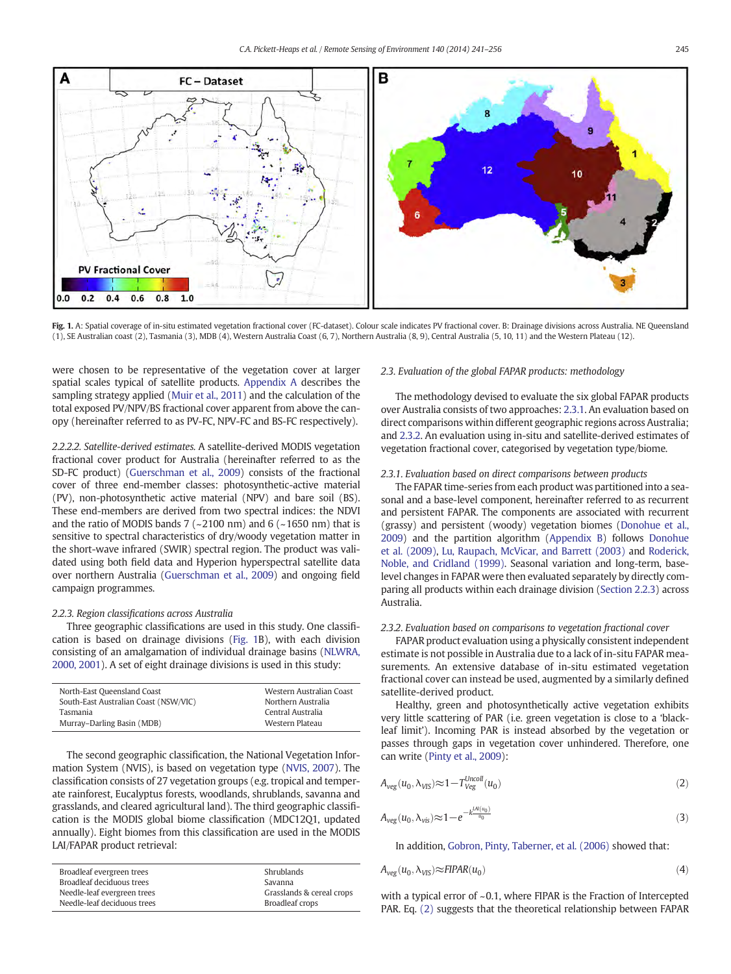<span id="page-4-0"></span>

Fig. 1. A: Spatial coverage of in-situ estimated vegetation fractional cover (FC-dataset). Colour scale indicates PV fractional cover. B: Drainage divisions across Australia. NE Queensland (1), SE Australian coast (2), Tasmania (3), MDB (4), Western Australia Coast (6, 7), Northern Australia (8, 9), Central Australia (5, 10, 11) and the Western Plateau (12).

were chosen to be representative of the vegetation cover at larger spatial scales typical of satellite products. [Appendix A](#page-13-0) describes the sampling strategy applied ([Muir et al., 2011\)](#page-15-0) and the calculation of the total exposed PV/NPV/BS fractional cover apparent from above the canopy (hereinafter referred to as PV-FC, NPV-FC and BS-FC respectively).

2.2.2.2. Satellite-derived estimates. A satellite-derived MODIS vegetation fractional cover product for Australia (hereinafter referred to as the SD-FC product) ([Guerschman et al., 2009\)](#page-15-0) consists of the fractional cover of three end-member classes: photosynthetic-active material (PV), non-photosynthetic active material (NPV) and bare soil (BS). These end-members are derived from two spectral indices: the NDVI and the ratio of MODIS bands 7 ( $\sim$ 2100 nm) and 6 ( $\sim$ 1650 nm) that is sensitive to spectral characteristics of dry/woody vegetation matter in the short-wave infrared (SWIR) spectral region. The product was validated using both field data and Hyperion hyperspectral satellite data over northern Australia [\(Guerschman et al., 2009\)](#page-15-0) and ongoing field campaign programmes.

# 2.2.3. Region classifications across Australia

Three geographic classifications are used in this study. One classification is based on drainage divisions (Fig. 1B), with each division consisting of an amalgamation of individual drainage basins [\(NLWRA,](#page-15-0) [2000, 2001](#page-15-0)). A set of eight drainage divisions is used in this study:

| North-East Oueensland Coast           | Western Australian Coast |
|---------------------------------------|--------------------------|
| South-East Australian Coast (NSW/VIC) | Northern Australia       |
| Tasmania                              | Central Australia        |
| Murray-Darling Basin (MDB)            | Western Plateau          |

The second geographic classification, the National Vegetation Information System (NVIS), is based on vegetation type [\(NVIS, 2007\)](#page-15-0). The classification consists of 27 vegetation groups (e.g. tropical and temperate rainforest, Eucalyptus forests, woodlands, shrublands, savanna and grasslands, and cleared agricultural land). The third geographic classification is the MODIS global biome classification (MDC12Q1, updated annually). Eight biomes from this classification are used in the MODIS LAI/FAPAR product retrieval:

| Broadleaf evergreen trees   | Shrublands                |
|-----------------------------|---------------------------|
| Broadleaf deciduous trees   | Savanna                   |
| Needle-leaf evergreen trees | Grasslands & cereal crops |
| Needle-leaf deciduous trees | <b>Broadleaf crops</b>    |

# 2.3. Evaluation of the global FAPAR products: methodology

The methodology devised to evaluate the six global FAPAR products over Australia consists of two approaches: 2.3.1. An evaluation based on direct comparisons within different geographic regions across Australia; and 2.3.2. An evaluation using in-situ and satellite-derived estimates of vegetation fractional cover, categorised by vegetation type/biome.

# 2.3.1. Evaluation based on direct comparisons between products

The FAPAR time-series from each product was partitioned into a seasonal and a base-level component, hereinafter referred to as recurrent and persistent FAPAR. The components are associated with recurrent (grassy) and persistent (woody) vegetation biomes ([Donohue et al.,](#page-14-0) [2009](#page-14-0)) and the partition algorithm ([Appendix B](#page-14-0)) follows [Donohue](#page-14-0) [et al. \(2009\),](#page-14-0) [Lu, Raupach, McVicar, and Barrett \(2003\)](#page-15-0) and [Roderick,](#page-15-0) [Noble, and Cridland \(1999\)](#page-15-0). Seasonal variation and long-term, baselevel changes in FAPAR were then evaluated separately by directly comparing all products within each drainage division (Section 2.2.3) across Australia.

# 2.3.2. Evaluation based on comparisons to vegetation fractional cover

FAPAR product evaluation using a physically consistent independent estimate is not possible in Australia due to a lack of in-situ FAPAR measurements. An extensive database of in-situ estimated vegetation fractional cover can instead be used, augmented by a similarly defined satellite-derived product.

Healthy, green and photosynthetically active vegetation exhibits very little scattering of PAR (i.e. green vegetation is close to a 'blackleaf limit'). Incoming PAR is instead absorbed by the vegetation or passes through gaps in vegetation cover unhindered. Therefore, one can write [\(Pinty et al., 2009](#page-15-0)):

$$
A_{\text{veg}}(u_0, \lambda_{\text{VIS}}) \approx 1 - T_{\text{Veg}}^{\text{Uncoll}}(u_0)
$$
\n
$$
\tag{2}
$$

$$
A_{\text{veg}}(u_0, \lambda_{\text{vis}}) \approx 1 - e^{-k\frac{\mu_0(u_0)}{u_0}}
$$
\n
$$
\tag{3}
$$

In addition, [Gobron, Pinty, Taberner, et al. \(2006\)](#page-14-0) showed that:

$$
A_{\text{veg}}(u_0, \lambda_{\text{VIS}}) \approx \text{FIPAR}(u_0) \tag{4}
$$

with a typical error of ~0.1, where FIPAR is the Fraction of Intercepted PAR. Eq. (2) suggests that the theoretical relationship between FAPAR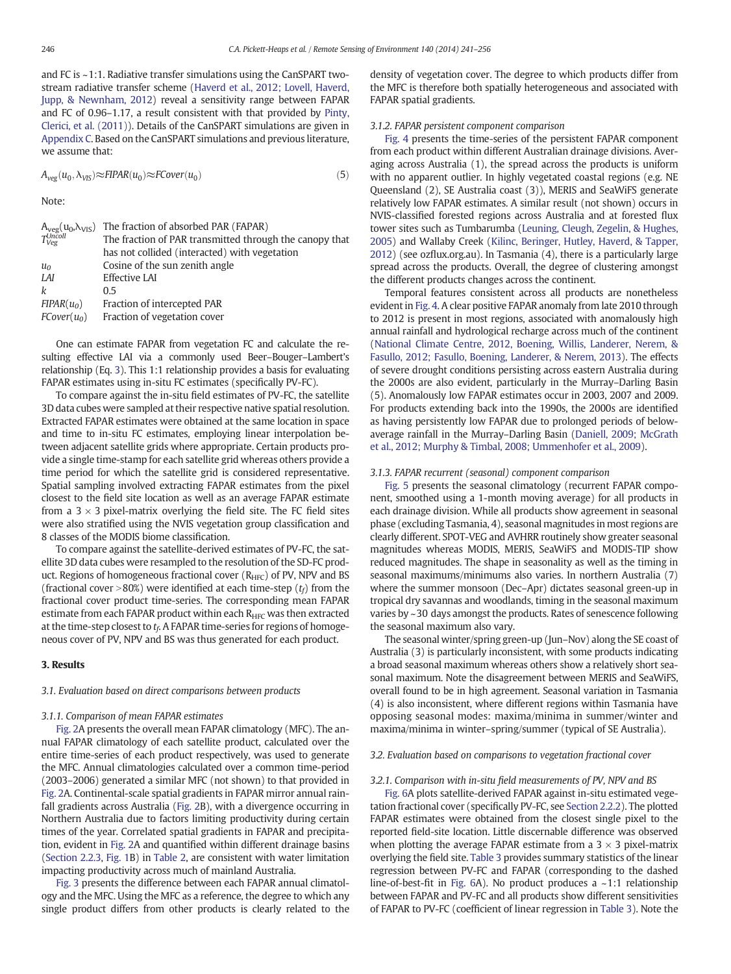and FC is ~1:1. Radiative transfer simulations using the CanSPART twostream radiative transfer scheme [\(Haverd et al., 2012; Lovell, Haverd,](#page-15-0) [Jupp, & Newnham, 2012](#page-15-0)) reveal a sensitivity range between FAPAR and FC of 0.96–1.17, a result consistent with that provided by [Pinty,](#page-15-0) [Clerici, et al. \(2011\)\)](#page-15-0). Details of the CanSPART simulations are given in [Appendix C](#page-14-0). Based on the CanSPART simulations and previous literature, we assume that:

$$
A_{\text{veg}}(u_0, \lambda_{\text{VIS}}) \approx FIPAR(u_0) \approx FCover(u_0)
$$
\n<sup>(5)</sup>

Note:

|                    | $A_{\text{veg}}(u_0, \lambda_{\text{VIS}})$ The fraction of absorbed PAR (FAPAR) |
|--------------------|----------------------------------------------------------------------------------|
| $T_{Veg}^{Uncoll}$ | The fraction of PAR transmitted through the canopy that                          |
|                    | has not collided (interacted) with vegetation                                    |
| $u_0$              | Cosine of the sun zenith angle                                                   |
| LAI                | <b>Effective LAI</b>                                                             |
| k                  | 0.5                                                                              |
| $FIPAR(u_0)$       | Fraction of intercepted PAR                                                      |
| $FCover(u_0)$      | Fraction of vegetation cover                                                     |
|                    |                                                                                  |

One can estimate FAPAR from vegetation FC and calculate the resulting effective LAI via a commonly used Beer–Bouger–Lambert's relationship (Eq. [3\)](#page-4-0). This 1:1 relationship provides a basis for evaluating FAPAR estimates using in-situ FC estimates (specifically PV-FC).

To compare against the in-situ field estimates of PV-FC, the satellite 3D data cubes were sampled at their respective native spatial resolution. Extracted FAPAR estimates were obtained at the same location in space and time to in-situ FC estimates, employing linear interpolation between adjacent satellite grids where appropriate. Certain products provide a single time-stamp for each satellite grid whereas others provide a time period for which the satellite grid is considered representative. Spatial sampling involved extracting FAPAR estimates from the pixel closest to the field site location as well as an average FAPAR estimate from a  $3 \times 3$  pixel-matrix overlying the field site. The FC field sites were also stratified using the NVIS vegetation group classification and 8 classes of the MODIS biome classification.

To compare against the satellite-derived estimates of PV-FC, the satellite 3D data cubes were resampled to the resolution of the SD-FC product. Regions of homogeneous fractional cover  $(R<sub>HFC</sub>)$  of PV, NPV and BS (fractional cover >80%) were identified at each time-step  $(t_f)$  from the fractional cover product time-series. The corresponding mean FAPAR estimate from each FAPAR product within each  $R<sub>HFC</sub>$  was then extracted at the time-step closest to  $t_f$ . A FAPAR time-series for regions of homogeneous cover of PV, NPV and BS was thus generated for each product.

#### 3. Results

### 3.1. Evaluation based on direct comparisons between products

### 3.1.1. Comparison of mean FAPAR estimates

[Fig. 2A](#page-6-0) presents the overall mean FAPAR climatology (MFC). The annual FAPAR climatology of each satellite product, calculated over the entire time-series of each product respectively, was used to generate the MFC. Annual climatologies calculated over a common time-period (2003–2006) generated a similar MFC (not shown) to that provided in [Fig. 2A](#page-6-0). Continental-scale spatial gradients in FAPAR mirror annual rainfall gradients across Australia [\(Fig. 2B](#page-6-0)), with a divergence occurring in Northern Australia due to factors limiting productivity during certain times of the year. Correlated spatial gradients in FAPAR and precipitation, evident in [Fig. 2](#page-6-0)A and quantified within different drainage basins [\(Section 2.2.3](#page-4-0), [Fig. 1B](#page-4-0)) in [Table 2](#page-6-0), are consistent with water limitation impacting productivity across much of mainland Australia.

[Fig. 3](#page-6-0) presents the difference between each FAPAR annual climatology and the MFC. Using the MFC as a reference, the degree to which any single product differs from other products is clearly related to the density of vegetation cover. The degree to which products differ from the MFC is therefore both spatially heterogeneous and associated with FAPAR spatial gradients.

#### 3.1.2. FAPAR persistent component comparison

[Fig. 4](#page-7-0) presents the time-series of the persistent FAPAR component from each product within different Australian drainage divisions. Averaging across Australia (1), the spread across the products is uniform with no apparent outlier. In highly vegetated coastal regions (e.g. NE Queensland (2), SE Australia coast (3)), MERIS and SeaWiFS generate relatively low FAPAR estimates. A similar result (not shown) occurs in NVIS-classified forested regions across Australia and at forested flux tower sites such as Tumbarumba ([Leuning, Cleugh, Zegelin, & Hughes,](#page-15-0) [2005\)](#page-15-0) and Wallaby Creek [\(Kilinc, Beringer, Hutley, Haverd, & Tapper,](#page-15-0) [2012\)](#page-15-0) (see ozflux.org.au). In Tasmania (4), there is a particularly large spread across the products. Overall, the degree of clustering amongst the different products changes across the continent.

Temporal features consistent across all products are nonetheless evident in [Fig. 4](#page-7-0). A clear positive FAPAR anomaly from late 2010 through to 2012 is present in most regions, associated with anomalously high annual rainfall and hydrological recharge across much of the continent [\(National Climate Centre, 2012, Boening, Willis, Landerer, Nerem, &](#page-15-0) [Fasullo, 2012; Fasullo, Boening, Landerer, & Nerem, 2013](#page-15-0)). The effects of severe drought conditions persisting across eastern Australia during the 2000s are also evident, particularly in the Murray–Darling Basin (5). Anomalously low FAPAR estimates occur in 2003, 2007 and 2009. For products extending back into the 1990s, the 2000s are identified as having persistently low FAPAR due to prolonged periods of belowaverage rainfall in the Murray–Darling Basin [\(Daniell, 2009; McGrath](#page-14-0) [et al., 2012; Murphy & Timbal, 2008; Ummenhofer et al., 2009](#page-14-0)).

#### 3.1.3. FAPAR recurrent (seasonal) component comparison

[Fig. 5](#page-8-0) presents the seasonal climatology (recurrent FAPAR component, smoothed using a 1-month moving average) for all products in each drainage division. While all products show agreement in seasonal phase (excluding Tasmania, 4), seasonal magnitudes in most regions are clearly different. SPOT-VEG and AVHRR routinely show greater seasonal magnitudes whereas MODIS, MERIS, SeaWiFS and MODIS-TIP show reduced magnitudes. The shape in seasonality as well as the timing in seasonal maximums/minimums also varies. In northern Australia (7) where the summer monsoon (Dec–Apr) dictates seasonal green-up in tropical dry savannas and woodlands, timing in the seasonal maximum varies by ~30 days amongst the products. Rates of senescence following the seasonal maximum also vary.

The seasonal winter/spring green-up (Jun–Nov) along the SE coast of Australia (3) is particularly inconsistent, with some products indicating a broad seasonal maximum whereas others show a relatively short seasonal maximum. Note the disagreement between MERIS and SeaWiFS, overall found to be in high agreement. Seasonal variation in Tasmania (4) is also inconsistent, where different regions within Tasmania have opposing seasonal modes: maxima/minima in summer/winter and maxima/minima in winter–spring/summer (typical of SE Australia).

#### 3.2. Evaluation based on comparisons to vegetation fractional cover

#### 3.2.1. Comparison with in-situ field measurements of PV, NPV and BS

[Fig. 6](#page-9-0)A plots satellite-derived FAPAR against in-situ estimated vegetation fractional cover (specifically PV-FC, see [Section 2.2.2\)](#page-3-0). The plotted FAPAR estimates were obtained from the closest single pixel to the reported field-site location. Little discernable difference was observed when plotting the average FAPAR estimate from a  $3 \times 3$  pixel-matrix overlying the field site. [Table 3](#page-10-0) provides summary statistics of the linear regression between PV-FC and FAPAR (corresponding to the dashed line-of-best-fit in [Fig. 6A](#page-9-0)). No product produces a ~1:1 relationship between FAPAR and PV-FC and all products show different sensitivities of FAPAR to PV-FC (coefficient of linear regression in [Table 3\)](#page-10-0). Note the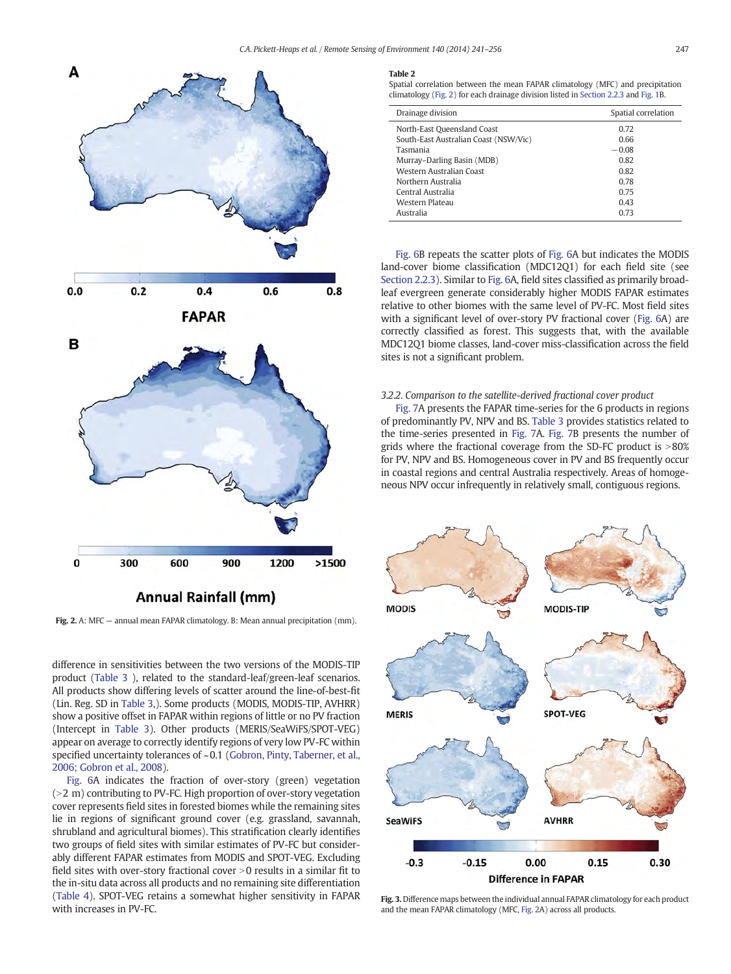<span id="page-6-0"></span>

Fig. 2. A: MFC – annual mean FAPAR climatology. B: Mean annual precipitation (mm).

difference in sensitivities between the two versions of the MODIS-TIP product [\(Table 3](#page-10-0) ), related to the standard-leaf/green-leaf scenarios. All products show differing levels of scatter around the line-of-best-fit (Lin. Reg. SD in [Table 3,](#page-10-0)). Some products (MODIS, MODIS-TIP, AVHRR) show a positive offset in FAPAR within regions of little or no PV fraction (Intercept in [Table 3\)](#page-10-0). Other products (MERIS/SeaWiFS/SPOT-VEG) appear on average to correctly identify regions of very low PV-FC within specified uncertainty tolerances of ~0.1 [\(Gobron, Pinty, Taberner, et al.,](#page-14-0) [2006; Gobron et al., 2008](#page-14-0)).

[Fig. 6A](#page-9-0) indicates the fraction of over-story (green) vegetation  $(>2$  m) contributing to PV-FC. High proportion of over-story vegetation cover represents field sites in forested biomes while the remaining sites lie in regions of significant ground cover (e.g. grassland, savannah, shrubland and agricultural biomes). This stratification clearly identifies two groups of field sites with similar estimates of PV-FC but considerably different FAPAR estimates from MODIS and SPOT-VEG. Excluding field sites with over-story fractional cover  $>0$  results in a similar fit to the in-situ data across all products and no remaining site differentiation [\(Table 4\)](#page-11-0). SPOT-VEG retains a somewhat higher sensitivity in FAPAR with increases in PV-FC.

#### Table 2

|  |  | Spatial correlation between the mean FAPAR climatology (MFC) and precipitation       |  |  |
|--|--|--------------------------------------------------------------------------------------|--|--|
|  |  | climatology (Fig. 2) for each drainage division listed in Section 2.2.3 and Fig. 1B. |  |  |

| Drainage division                     | Spatial correlation |
|---------------------------------------|---------------------|
| North-East Queensland Coast           | 0.72                |
| South-East Australian Coast (NSW/Vic) | 0.66                |
| Tasmania                              | $-0.08$             |
| Murray–Darling Basin (MDB)            | 0.82                |
| Western Australian Coast              | 0.82                |
| Northern Australia                    | 0.78                |
| Central Australia                     | 0.75                |
| Western Plateau                       | 0.43                |
| Australia                             | 0.73                |

[Fig. 6B](#page-9-0) repeats the scatter plots of [Fig. 6](#page-9-0)A but indicates the MODIS land-cover biome classification (MDC12Q1) for each field site (see [Section 2.2.3\)](#page-4-0). Similar to [Fig. 6](#page-9-0)A, field sites classified as primarily broadleaf evergreen generate considerably higher MODIS FAPAR estimates relative to other biomes with the same level of PV-FC. Most field sites with a significant level of over-story PV fractional cover ([Fig. 6A](#page-9-0)) are correctly classified as forest. This suggests that, with the available MDC12Q1 biome classes, land-cover miss-classification across the field sites is not a significant problem.

### 3.2.2. Comparison to the satellite-derived fractional cover product

[Fig. 7](#page-11-0)A presents the FAPAR time-series for the 6 products in regions of predominantly PV, NPV and BS. [Table 3](#page-10-0) provides statistics related to the time-series presented in [Fig. 7A](#page-11-0). [Fig. 7B](#page-11-0) presents the number of grids where the fractional coverage from the SD-FC product is  $>80\%$ for PV, NPV and BS. Homogeneous cover in PV and BS frequently occur in coastal regions and central Australia respectively. Areas of homogeneous NPV occur infrequently in relatively small, contiguous regions.



Fig. 3. Difference maps between the individual annual FAPAR climatology for each product and the mean FAPAR climatology (MFC, Fig. 2A) across all products.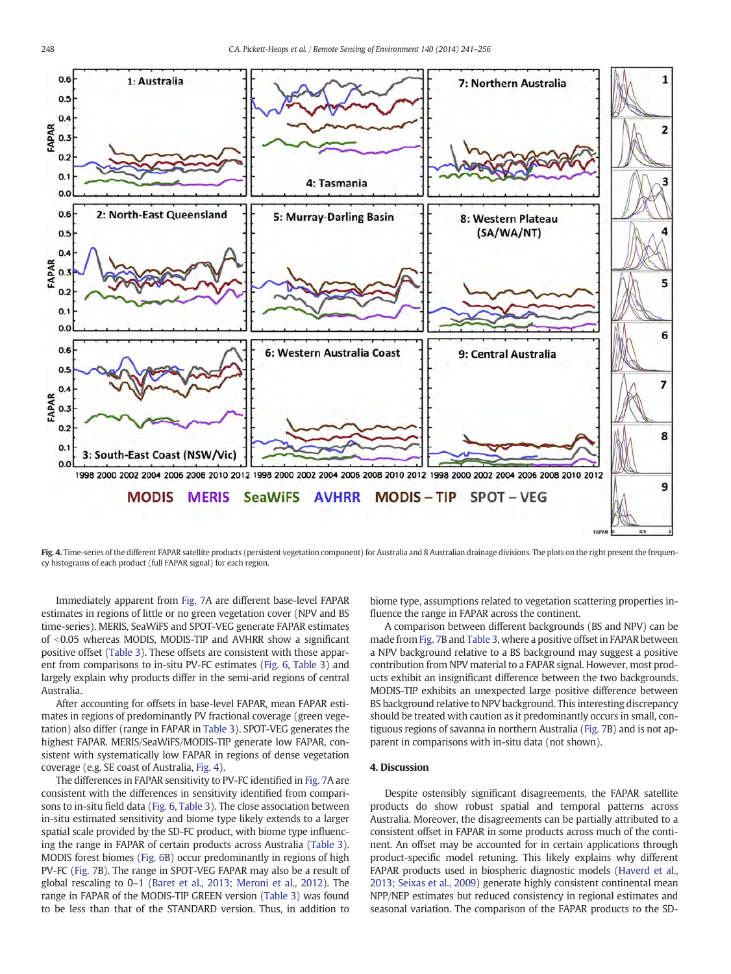<span id="page-7-0"></span>

Fig. 4. Time-series of the different FAPAR satellite products (persistent vegetation component) for Australia and 8 Australian drainage divisions. The plots on the right present the frequency histograms of each product (full FAPAR signal) for each region.

Immediately apparent from [Fig. 7](#page-11-0)A are different base-level FAPAR estimates in regions of little or no green vegetation cover (NPV and BS time-series). MERIS, SeaWiFS and SPOT-VEG generate FAPAR estimates of <0.05 whereas MODIS, MODIS-TIP and AVHRR show a significant positive offset [\(Table 3\)](#page-10-0). These offsets are consistent with those apparent from comparisons to in-situ PV-FC estimates [\(Fig. 6,](#page-9-0) [Table 3](#page-10-0)) and largely explain why products differ in the semi-arid regions of central Australia.

After accounting for offsets in base-level FAPAR, mean FAPAR estimates in regions of predominantly PV fractional coverage (green vegetation) also differ (range in FAPAR in [Table 3](#page-10-0)). SPOT-VEG generates the highest FAPAR. MERIS/SeaWiFS/MODIS-TIP generate low FAPAR, consistent with systematically low FAPAR in regions of dense vegetation coverage (e.g. SE coast of Australia, Fig. 4).

The differences in FAPAR sensitivity to PV-FC identified in [Fig. 7A](#page-11-0) are consistent with the differences in sensitivity identified from comparisons to in-situ field data [\(Fig. 6](#page-9-0), [Table 3](#page-10-0)). The close association between in-situ estimated sensitivity and biome type likely extends to a larger spatial scale provided by the SD-FC product, with biome type influencing the range in FAPAR of certain products across Australia [\(Table 3\)](#page-10-0). MODIS forest biomes [\(Fig. 6](#page-9-0)B) occur predominantly in regions of high PV-FC ([Fig. 7B](#page-11-0)). The range in SPOT-VEG FAPAR may also be a result of global rescaling to 0–1 [\(Baret et al., 2013; Meroni et al., 2012](#page-14-0)). The range in FAPAR of the MODIS-TIP GREEN version [\(Table 3](#page-10-0)) was found to be less than that of the STANDARD version. Thus, in addition to

biome type, assumptions related to vegetation scattering properties influence the range in FAPAR across the continent.

A comparison between different backgrounds (BS and NPV) can be made from [Fig. 7B](#page-11-0) and [Table 3,](#page-10-0) where a positive offset in FAPAR between a NPV background relative to a BS background may suggest a positive contribution from NPV material to a FAPAR signal. However, most products exhibit an insignificant difference between the two backgrounds. MODIS-TIP exhibits an unexpected large positive difference between BS background relative to NPV background. This interesting discrepancy should be treated with caution as it predominantly occurs in small, contiguous regions of savanna in northern Australia [\(Fig. 7B](#page-11-0)) and is not apparent in comparisons with in-situ data (not shown).

# 4. Discussion

Despite ostensibly significant disagreements, the FAPAR satellite products do show robust spatial and temporal patterns across Australia. Moreover, the disagreements can be partially attributed to a consistent offset in FAPAR in some products across much of the continent. An offset may be accounted for in certain applications through product-specific model retuning. This likely explains why different FAPAR products used in biospheric diagnostic models [\(Haverd et al.,](#page-15-0) [2013; Seixas et al., 2009\)](#page-15-0) generate highly consistent continental mean NPP/NEP estimates but reduced consistency in regional estimates and seasonal variation. The comparison of the FAPAR products to the SD-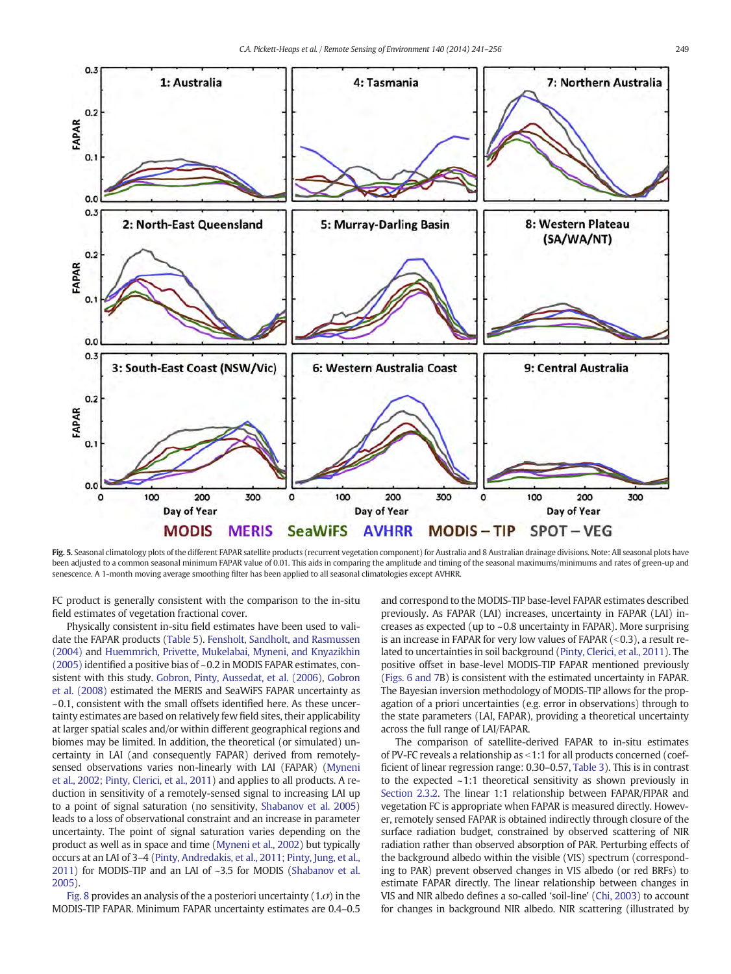<span id="page-8-0"></span>

Fig. 5. Seasonal climatology plots of the different FAPAR satellite products (recurrent vegetation component) for Australia and 8 Australian drainage divisions. Note: All seasonal plots have been adjusted to a common seasonal minimum FAPAR value of 0.01. This aids in comparing the amplitude and timing of the seasonal maximums/minimums and rates of green-up and senescence. A 1-month moving average smoothing filter has been applied to all seasonal climatologies except AVHRR.

FC product is generally consistent with the comparison to the in-situ field estimates of vegetation fractional cover.

Physically consistent in-situ field estimates have been used to validate the FAPAR products [\(Table 5\)](#page-12-0). [Fensholt, Sandholt, and Rasmussen](#page-14-0) [\(2004\)](#page-14-0) and [Huemmrich, Privette, Mukelabai, Myneni, and Knyazikhin](#page-15-0) [\(2005\)](#page-15-0) identified a positive bias of ~0.2 in MODIS FAPAR estimates, consistent with this study. [Gobron, Pinty, Aussedat, et al. \(2006\),](#page-14-0) [Gobron](#page-14-0) [et al. \(2008\)](#page-14-0) estimated the MERIS and SeaWiFS FAPAR uncertainty as  $\sim$ 0.1, consistent with the small offsets identified here. As these uncertainty estimates are based on relatively few field sites, their applicability at larger spatial scales and/or within different geographical regions and biomes may be limited. In addition, the theoretical (or simulated) uncertainty in LAI (and consequently FAPAR) derived from remotelysensed observations varies non-linearly with LAI (FAPAR) [\(Myneni](#page-15-0) [et al., 2002; Pinty, Clerici, et al., 2011\)](#page-15-0) and applies to all products. A reduction in sensitivity of a remotely-sensed signal to increasing LAI up to a point of signal saturation (no sensitivity, [Shabanov et al. 2005](#page-15-0)) leads to a loss of observational constraint and an increase in parameter uncertainty. The point of signal saturation varies depending on the product as well as in space and time [\(Myneni et al., 2002\)](#page-15-0) but typically occurs at an LAI of 3–4 [\(Pinty, Andredakis, et al., 2011; Pinty, Jung, et al.,](#page-15-0) [2011](#page-15-0)) for MODIS-TIP and an LAI of ~3.5 for MODIS ([Shabanov et al.](#page-15-0) [2005](#page-15-0)).

[Fig. 8](#page-12-0) provides an analysis of the a posteriori uncertainty (1. $\sigma$ ) in the MODIS-TIP FAPAR. Minimum FAPAR uncertainty estimates are 0.4–0.5 and correspond to the MODIS-TIP base-level FAPAR estimates described previously. As FAPAR (LAI) increases, uncertainty in FAPAR (LAI) increases as expected (up to ~0.8 uncertainty in FAPAR). More surprising is an increase in FAPAR for very low values of FAPAR  $(< 0.3)$ , a result related to uncertainties in soil background ([Pinty, Clerici, et al., 2011\)](#page-15-0). The positive offset in base-level MODIS-TIP FAPAR mentioned previously [\(Figs. 6 and 7](#page-9-0)B) is consistent with the estimated uncertainty in FAPAR. The Bayesian inversion methodology of MODIS-TIP allows for the propagation of a priori uncertainties (e.g. error in observations) through to the state parameters (LAI, FAPAR), providing a theoretical uncertainty across the full range of LAI/FAPAR.

The comparison of satellite-derived FAPAR to in-situ estimates of PV-FC reveals a relationship as  $\le$ 1:1 for all products concerned (coefficient of linear regression range: 0.30–0.57, [Table 3\)](#page-10-0). This is in contrast to the expected ~1:1 theoretical sensitivity as shown previously in [Section 2.3.2.](#page-4-0) The linear 1:1 relationship between FAPAR/FIPAR and vegetation FC is appropriate when FAPAR is measured directly. However, remotely sensed FAPAR is obtained indirectly through closure of the surface radiation budget, constrained by observed scattering of NIR radiation rather than observed absorption of PAR. Perturbing effects of the background albedo within the visible (VIS) spectrum (corresponding to PAR) prevent observed changes in VIS albedo (or red BRFs) to estimate FAPAR directly. The linear relationship between changes in VIS and NIR albedo defines a so-called 'soil-line' ([Chi, 2003\)](#page-14-0) to account for changes in background NIR albedo. NIR scattering (illustrated by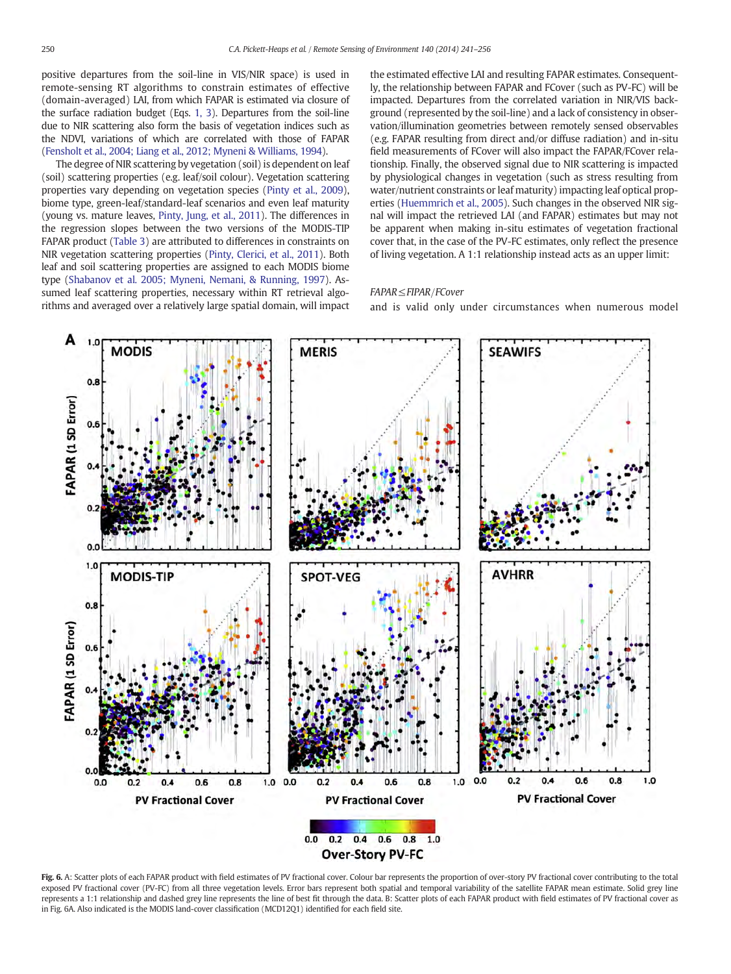<span id="page-9-0"></span>positive departures from the soil-line in VIS/NIR space) is used in remote-sensing RT algorithms to constrain estimates of effective (domain-averaged) LAI, from which FAPAR is estimated via closure of the surface radiation budget (Eqs. [1, 3](#page-0-0)). Departures from the soil-line due to NIR scattering also form the basis of vegetation indices such as the NDVI, variations of which are correlated with those of FAPAR [\(Fensholt et al., 2004; Liang et al., 2012; Myneni & Williams, 1994](#page-14-0)).

The degree of NIR scattering by vegetation (soil) is dependent on leaf (soil) scattering properties (e.g. leaf/soil colour). Vegetation scattering properties vary depending on vegetation species [\(Pinty et al., 2009\)](#page-15-0), biome type, green-leaf/standard-leaf scenarios and even leaf maturity (young vs. mature leaves, [Pinty, Jung, et al., 2011](#page-15-0)). The differences in the regression slopes between the two versions of the MODIS-TIP FAPAR product ([Table 3](#page-10-0)) are attributed to differences in constraints on NIR vegetation scattering properties [\(Pinty, Clerici, et al., 2011](#page-15-0)). Both leaf and soil scattering properties are assigned to each MODIS biome type [\(Shabanov et al. 2005; Myneni, Nemani, & Running, 1997\)](#page-15-0). Assumed leaf scattering properties, necessary within RT retrieval algorithms and averaged over a relatively large spatial domain, will impact

the estimated effective LAI and resulting FAPAR estimates. Consequently, the relationship between FAPAR and FCover (such as PV-FC) will be impacted. Departures from the correlated variation in NIR/VIS background (represented by the soil-line) and a lack of consistency in observation/illumination geometries between remotely sensed observables (e.g. FAPAR resulting from direct and/or diffuse radiation) and in-situ field measurements of FCover will also impact the FAPAR/FCover relationship. Finally, the observed signal due to NIR scattering is impacted by physiological changes in vegetation (such as stress resulting from water/nutrient constraints or leaf maturity) impacting leaf optical properties [\(Huemmrich et al., 2005](#page-15-0)). Such changes in the observed NIR signal will impact the retrieved LAI (and FAPAR) estimates but may not be apparent when making in-situ estimates of vegetation fractional cover that, in the case of the PV-FC estimates, only reflect the presence of living vegetation. A 1:1 relationship instead acts as an upper limit:

# FAPAR ≤ FIPAR / FCover

and is valid only under circumstances when numerous model



Fig. 6. A: Scatter plots of each FAPAR product with field estimates of PV fractional cover. Colour bar represents the proportion of over-story PV fractional cover contributing to the total exposed PV fractional cover (PV-FC) from all three vegetation levels. Error bars represent both spatial and temporal variability of the satellite FAPAR mean estimate. Solid grey line represents a 1:1 relationship and dashed grey line represents the line of best fit through the data. B: Scatter plots of each FAPAR product with field estimates of PV fractional cover as in Fig. 6A. Also indicated is the MODIS land-cover classification (MCD12Q1) identified for each field site.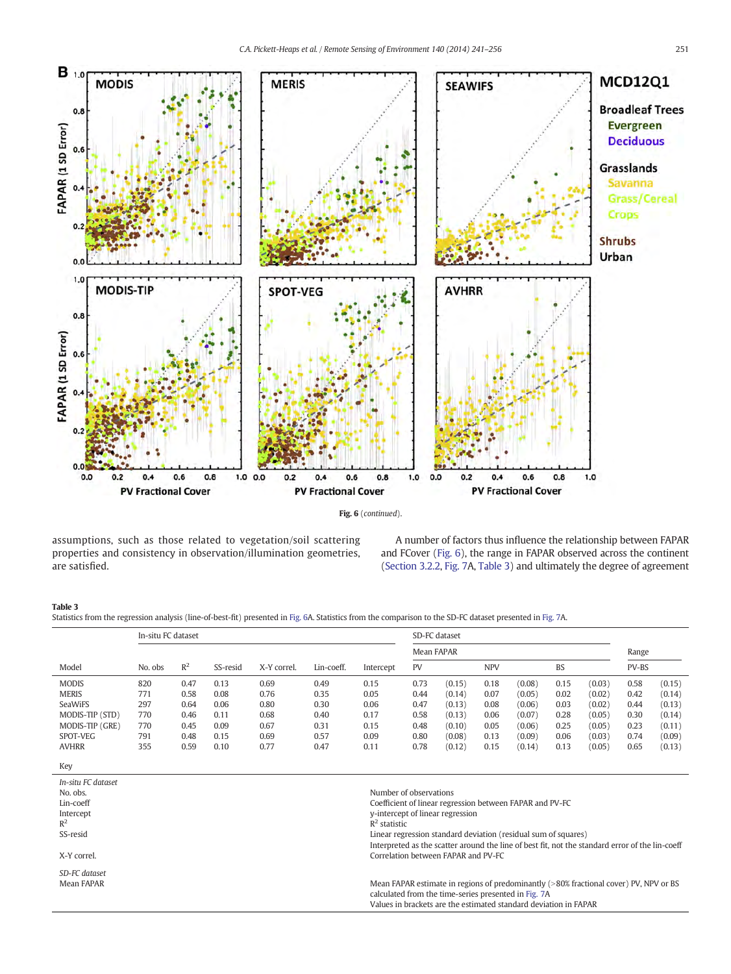<span id="page-10-0"></span>

Fig. 6 (continued).

assumptions, such as those related to vegetation/soil scattering properties and consistency in observation/illumination geometries, are satisfied.

A number of factors thus influence the relationship between FAPAR and FCover [\(Fig. 6](#page-9-0)), the range in FAPAR observed across the continent [\(Section 3.2.2,](#page-6-0) [Fig. 7](#page-11-0)A, Table 3) and ultimately the degree of agreement

Values in brackets are the estimated standard deviation in FAPAR

# Table 3

```
Statistics from the regression analysis (line-of-best-fit) presented in Fig. 6A. Statistics from the comparison to the SD-FC dataset presented in Fig. 7A.
```

|                 | In-situ FC dataset |       |          |             |            |           | SD-FC dataset |        |            |        |           |        |       |        |
|-----------------|--------------------|-------|----------|-------------|------------|-----------|---------------|--------|------------|--------|-----------|--------|-------|--------|
|                 |                    |       |          |             |            |           | Mean FAPAR    |        |            |        |           |        | Range |        |
| Model           | No. obs            | $R^2$ | SS-resid | X-Y correl. | Lin-coeff. | Intercept | PV            |        | <b>NPV</b> |        | <b>BS</b> |        | PV-BS |        |
| <b>MODIS</b>    | 820                | 0.47  | 0.13     | 0.69        | 0.49       | 0.15      | 0.73          | (0.15) | 0.18       | (0.08) | 0.15      | (0.03) | 0.58  | (0.15) |
| <b>MERIS</b>    | 771                | 0.58  | 0.08     | 0.76        | 0.35       | 0.05      | 0.44          | (0.14) | 0.07       | (0.05) | 0.02      | (0.02) | 0.42  | (0.14) |
| SeaWiFS         | 297                | 0.64  | 0.06     | 0.80        | 0.30       | 0.06      | 0.47          | (0.13) | 0.08       | (0.06) | 0.03      | (0.02) | 0.44  | (0.13) |
| MODIS-TIP (STD) | 770                | 0.46  | 0.11     | 0.68        | 0.40       | 0.17      | 0.58          | (0.13) | 0.06       | (0.07) | 0.28      | (0.05) | 0.30  | (0.14) |
| MODIS-TIP (GRE) | 770                | 0.45  | 0.09     | 0.67        | 0.31       | 0.15      | 0.48          | (0.10) | 0.05       | (0.06) | 0.25      | (0.05) | 0.23  | (0.11) |
| SPOT-VEG        | 791                | 0.48  | 0.15     | 0.69        | 0.57       | 0.09      | 0.80          | (0.08) | 0.13       | (0.09) | 0.06      | (0.03) | 0.74  | (0.09) |
| <b>AVHRR</b>    | 355                | 0.59  | 0.10     | 0.77        | 0.47       | 0.11      | 0.78          | (0.12) | 0.15       | (0.14) | 0.13      | (0.05) | 0.65  | (0.13) |
| Key             |                    |       |          |             |            |           |               |        |            |        |           |        |       |        |

| In-situ FC dataset |                                                                                                 |
|--------------------|-------------------------------------------------------------------------------------------------|
| No. obs.           | Number of observations                                                                          |
| Lin-coeff          | Coefficient of linear regression between FAPAR and PV-FC                                        |
| Intercept          | y-intercept of linear regression                                                                |
| $R^2$              | $R^2$ statistic                                                                                 |
| SS-resid           | Linear regression standard deviation (residual sum of squares)                                  |
|                    | Interpreted as the scatter around the line of best fit, not the standard error of the lin-coeff |
| X-Y correl.        | Correlation between FAPAR and PV-FC                                                             |
| SD-FC dataset      |                                                                                                 |
| Mean FAPAR         | Mean FAPAR estimate in regions of predominantly (>80% fractional cover) PV, NPV or BS           |
|                    | calculated from the time-series presented in Fig. 7A                                            |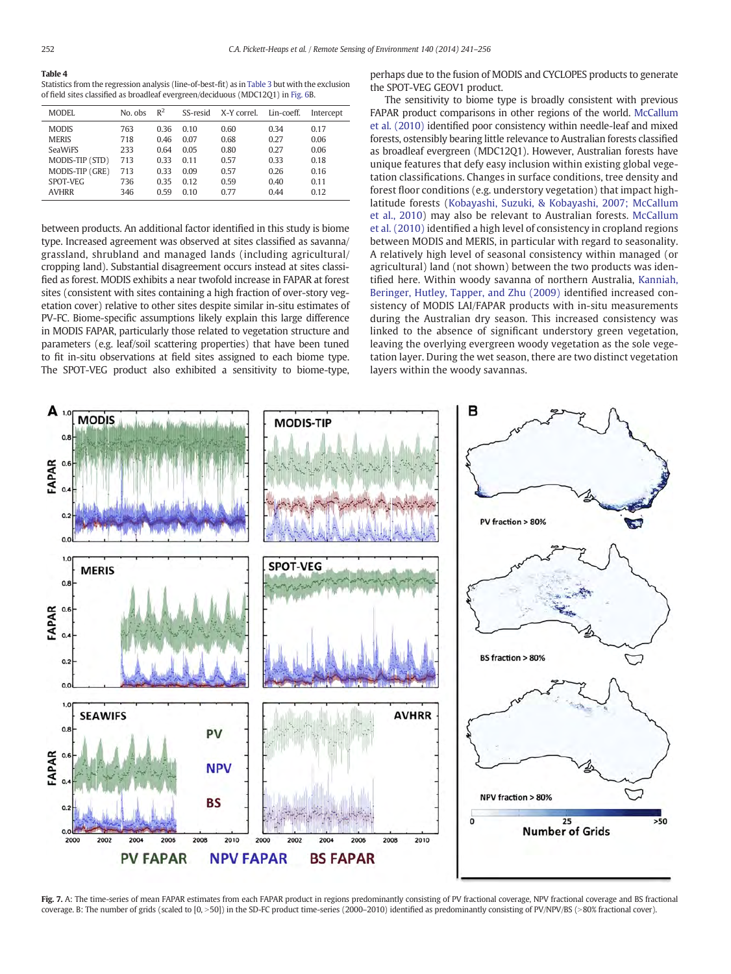<span id="page-11-0"></span>Table 4 Statistics from the regression analysis (line-of-best-fit) as in [Table 3](#page-10-0) but with the exclusion of field sites classified as broadleaf evergreen/deciduous (MDC12Q1) in [Fig. 6B](#page-9-0).

| MODEL.          | No. obs | $R^2$ | SS-resid | X-Y correl. | Lin-coeff. | Intercept |
|-----------------|---------|-------|----------|-------------|------------|-----------|
| <b>MODIS</b>    | 763     | 0.36  | 0.10     | 0.60        | 0.34       | 0.17      |
| <b>MERIS</b>    | 718     | 0.46  | 0.07     | 0.68        | 0.27       | 0.06      |
| <b>SeaWiFS</b>  | 233     | 0.64  | 0.05     | 0.80        | 0.27       | 0.06      |
| MODIS-TIP (STD) | 713     | 0.33  | 0.11     | 0.57        | 0.33       | 0.18      |
| MODIS-TIP (GRE) | 713     | 0.33  | 0.09     | 0.57        | 0.26       | 0.16      |
| SPOT-VEG        | 736     | 0.35  | 0.12     | 0.59        | 0.40       | 0.11      |
| <b>AVHRR</b>    | 346     | 0.59  | 0.10     | 0.77        | 0.44       | 0.12      |
|                 |         |       |          |             |            |           |

between products. An additional factor identified in this study is biome type. Increased agreement was observed at sites classified as savanna/ grassland, shrubland and managed lands (including agricultural/ cropping land). Substantial disagreement occurs instead at sites classified as forest. MODIS exhibits a near twofold increase in FAPAR at forest sites (consistent with sites containing a high fraction of over-story vegetation cover) relative to other sites despite similar in-situ estimates of PV-FC. Biome-specific assumptions likely explain this large difference in MODIS FAPAR, particularly those related to vegetation structure and parameters (e.g. leaf/soil scattering properties) that have been tuned to fit in-situ observations at field sites assigned to each biome type. The SPOT-VEG product also exhibited a sensitivity to biome-type, perhaps due to the fusion of MODIS and CYCLOPES products to generate the SPOT-VEG GEOV1 product.

The sensitivity to biome type is broadly consistent with previous FAPAR product comparisons in other regions of the world. [McCallum](#page-15-0) [et al. \(2010\)](#page-15-0) identified poor consistency within needle-leaf and mixed forests, ostensibly bearing little relevance to Australian forests classified as broadleaf evergreen (MDC12Q1). However, Australian forests have unique features that defy easy inclusion within existing global vegetation classifications. Changes in surface conditions, tree density and forest floor conditions (e.g. understory vegetation) that impact highlatitude forests ([Kobayashi, Suzuki, & Kobayashi, 2007; McCallum](#page-15-0) [et al., 2010](#page-15-0)) may also be relevant to Australian forests. [McCallum](#page-15-0) [et al. \(2010\)](#page-15-0) identified a high level of consistency in cropland regions between MODIS and MERIS, in particular with regard to seasonality. A relatively high level of seasonal consistency within managed (or agricultural) land (not shown) between the two products was identified here. Within woody savanna of northern Australia, [Kanniah,](#page-15-0) [Beringer, Hutley, Tapper, and Zhu \(2009\)](#page-15-0) identified increased consistency of MODIS LAI/FAPAR products with in-situ measurements during the Australian dry season. This increased consistency was linked to the absence of significant understory green vegetation, leaving the overlying evergreen woody vegetation as the sole vegetation layer. During the wet season, there are two distinct vegetation layers within the woody savannas.



Fig. 7. A: The time-series of mean FAPAR estimates from each FAPAR product in regions predominantly consisting of PV fractional coverage, NPV fractional coverage and BS fractional coverage. B: The number of grids (scaled to [0, >50]) in the SD-FC product time-series (2000-2010) identified as predominantly consisting of PV/NPV/BS (>80% fractional cover).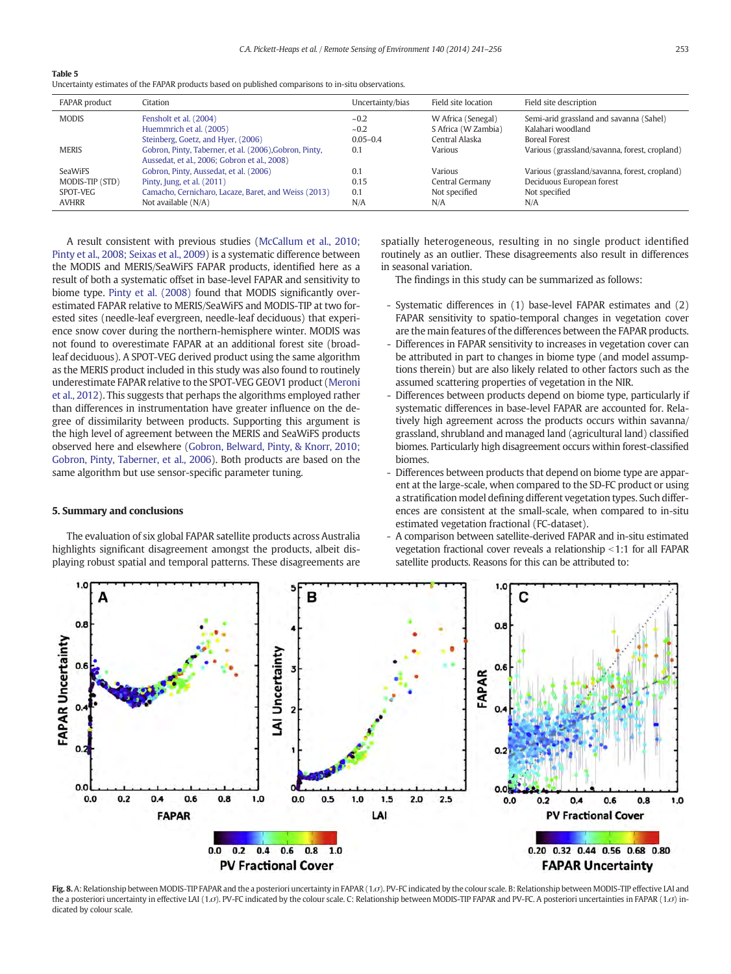<span id="page-12-0"></span>Table 5

Uncertainty estimates of the FAPAR products based on published comparisons to in-situ observations.

| FAPAR product   | Citation                                                                                                | Uncertainty/bias | Field site location                       | Field site description                                       |
|-----------------|---------------------------------------------------------------------------------------------------------|------------------|-------------------------------------------|--------------------------------------------------------------|
| <b>MODIS</b>    | Fensholt et al. (2004)<br>Huemmrich et al. (2005)                                                       | $-0.2$<br>$-0.2$ | W Africa (Senegal)<br>S Africa (W Zambia) | Semi-arid grassland and savanna (Sahel)<br>Kalahari woodland |
|                 | Steinberg, Goetz, and Hyer, (2006)                                                                      | $0.05 - 0.4$     | Central Alaska                            | <b>Boreal Forest</b>                                         |
| <b>MERIS</b>    | Gobron, Pinty, Taberner, et al. (2006), Gobron, Pinty,<br>Aussedat, et al., 2006; Gobron et al., 2008). | 0.1              | Various                                   | Various (grassland/savanna, forest, cropland)                |
| SeaWiFS         | Gobron, Pinty, Aussedat, et al. (2006)                                                                  | 0.1              | Various                                   | Various (grassland/savanna, forest, cropland)                |
| MODIS-TIP (STD) | Pinty, Jung, et al. (2011)                                                                              | 0.15             | Central Germany                           | Deciduous European forest                                    |
| SPOT-VEG        | Camacho, Cernicharo, Lacaze, Baret, and Weiss (2013)                                                    | 0.1              | Not specified                             | Not specified                                                |
| <b>AVHRR</b>    | Not available (N/A)                                                                                     | N/A              | N/A                                       | N/A                                                          |

A result consistent with previous studies [\(McCallum et al., 2010;](#page-15-0) [Pinty et al., 2008; Seixas et al., 2009](#page-15-0)) is a systematic difference between the MODIS and MERIS/SeaWiFS FAPAR products, identified here as a result of both a systematic offset in base-level FAPAR and sensitivity to biome type. [Pinty et al. \(2008\)](#page-15-0) found that MODIS significantly overestimated FAPAR relative to MERIS/SeaWiFS and MODIS-TIP at two forested sites (needle-leaf evergreen, needle-leaf deciduous) that experience snow cover during the northern-hemisphere winter. MODIS was not found to overestimate FAPAR at an additional forest site (broadleaf deciduous). A SPOT-VEG derived product using the same algorithm as the MERIS product included in this study was also found to routinely underestimate FAPAR relative to the SPOT-VEG GEOV1 product ([Meroni](#page-15-0) [et al., 2012](#page-15-0)). This suggests that perhaps the algorithms employed rather than differences in instrumentation have greater influence on the degree of dissimilarity between products. Supporting this argument is the high level of agreement between the MERIS and SeaWiFS products observed here and elsewhere ([Gobron, Belward, Pinty, & Knorr, 2010;](#page-14-0) [Gobron, Pinty, Taberner, et al., 2006](#page-14-0)). Both products are based on the same algorithm but use sensor-specific parameter tuning.

# 5. Summary and conclusions

The evaluation of six global FAPAR satellite products across Australia highlights significant disagreement amongst the products, albeit displaying robust spatial and temporal patterns. These disagreements are spatially heterogeneous, resulting in no single product identified routinely as an outlier. These disagreements also result in differences in seasonal variation.

The findings in this study can be summarized as follows:

- Systematic differences in (1) base-level FAPAR estimates and (2) FAPAR sensitivity to spatio-temporal changes in vegetation cover are the main features of the differences between the FAPAR products.
- Differences in FAPAR sensitivity to increases in vegetation cover can be attributed in part to changes in biome type (and model assumptions therein) but are also likely related to other factors such as the assumed scattering properties of vegetation in the NIR.
- Differences between products depend on biome type, particularly if systematic differences in base-level FAPAR are accounted for. Relatively high agreement across the products occurs within savanna/ grassland, shrubland and managed land (agricultural land) classified biomes. Particularly high disagreement occurs within forest-classified biomes.
- Differences between products that depend on biome type are apparent at the large-scale, when compared to the SD-FC product or using a stratification model defining different vegetation types. Such differences are consistent at the small-scale, when compared to in-situ estimated vegetation fractional (FC-dataset).
- A comparison between satellite-derived FAPAR and in-situ estimated vegetation fractional cover reveals a relationship  $\le$ 1:1 for all FAPAR satellite products. Reasons for this can be attributed to:



Fig. 8. A: Relationship between MODIS-TIP FAPAR and the a posteriori uncertainty in FAPAR (1. $\sigma$ ). PV-FC indicated by the colour scale. B: Relationship between MODIS-TIP effective LAI and the a posteriori uncertainty in effective LAI (1.σ). PV-FC indicated by the colour scale. C: Relationship between MODIS-TIP FAPAR and PV-FC. A posteriori uncertainties in FAPAR (1.σ) indicated by colour scale.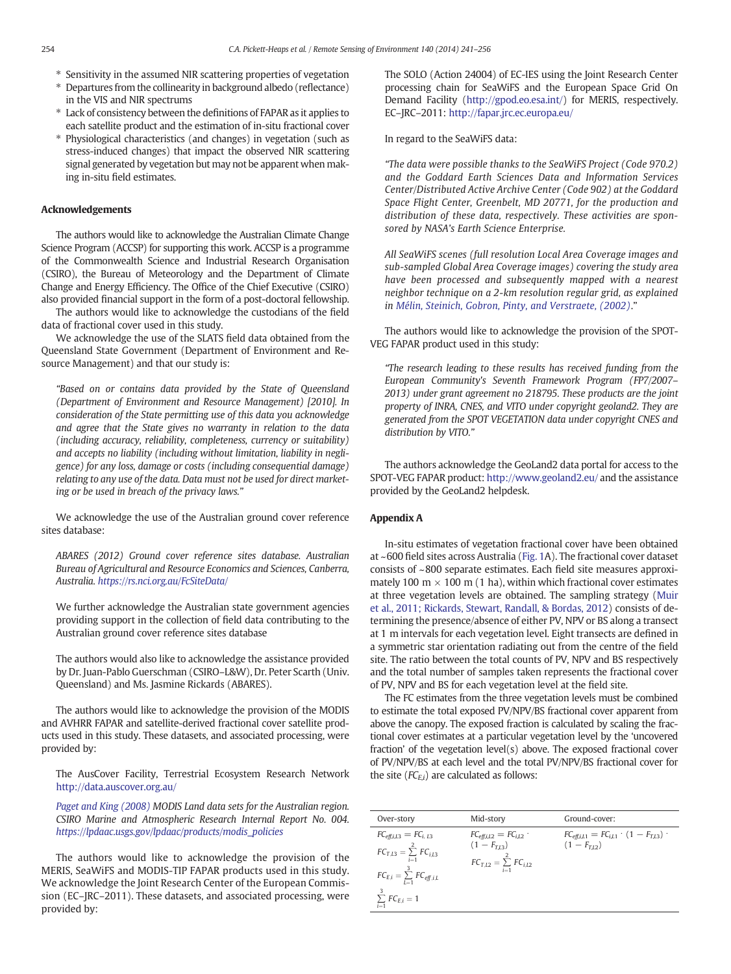- <span id="page-13-0"></span>⁎ Sensitivity in the assumed NIR scattering properties of vegetation
- ⁎ Departures from the collinearity in background albedo (reflectance) in the VIS and NIR spectrums
- ⁎ Lack of consistency between the definitions of FAPAR as it applies to each satellite product and the estimation of in-situ fractional cover
- ⁎ Physiological characteristics (and changes) in vegetation (such as stress-induced changes) that impact the observed NIR scattering signal generated by vegetation but may not be apparent when making in-situ field estimates.

# Acknowledgements

The authors would like to acknowledge the Australian Climate Change Science Program (ACCSP) for supporting this work. ACCSP is a programme of the Commonwealth Science and Industrial Research Organisation (CSIRO), the Bureau of Meteorology and the Department of Climate Change and Energy Efficiency. The Office of the Chief Executive (CSIRO) also provided financial support in the form of a post-doctoral fellowship.

The authors would like to acknowledge the custodians of the field data of fractional cover used in this study.

We acknowledge the use of the SLATS field data obtained from the Queensland State Government (Department of Environment and Resource Management) and that our study is:

"Based on or contains data provided by the State of Queensland (Department of Environment and Resource Management) [2010]. In consideration of the State permitting use of this data you acknowledge and agree that the State gives no warranty in relation to the data (including accuracy, reliability, completeness, currency or suitability) and accepts no liability (including without limitation, liability in negligence) for any loss, damage or costs (including consequential damage) relating to any use of the data. Data must not be used for direct marketing or be used in breach of the privacy laws."

We acknowledge the use of the Australian ground cover reference sites database:

ABARES (2012) Ground cover reference sites database. Australian Bureau of Agricultural and Resource Economics and Sciences, Canberra, Australia. <https://rs.nci.org.au/FcSiteData/>

We further acknowledge the Australian state government agencies providing support in the collection of field data contributing to the Australian ground cover reference sites database

The authors would also like to acknowledge the assistance provided by Dr. Juan-Pablo Guerschman (CSIRO–L&W), Dr. Peter Scarth (Univ. Queensland) and Ms. Jasmine Rickards (ABARES).

The authors would like to acknowledge the provision of the MODIS and AVHRR FAPAR and satellite-derived fractional cover satellite products used in this study. These datasets, and associated processing, were provided by:

The AusCover Facility, Terrestrial Ecosystem Research Network <http://data.auscover.org.au/>

[Paget and King \(2008\)](#page-15-0) MODIS Land data sets for the Australian region. CSIRO Marine and Atmospheric Research Internal Report No. 004. [https://lpdaac.usgs.gov/lpdaac/products/modis\\_policies](https://lpdaac.usgs.gov/lpdaac/products/modis_policies)

The authors would like to acknowledge the provision of the MERIS, SeaWiFS and MODIS-TIP FAPAR products used in this study. We acknowledge the Joint Research Center of the European Commission (EC–JRC–2011). These datasets, and associated processing, were provided by:

The SOLO (Action 24004) of EC-IES using the Joint Research Center processing chain for SeaWiFS and the European Space Grid On Demand Facility [\(http://gpod.eo.esa.int/\)](http://gpod.eo.esa.int/) for MERIS, respectively. EC–JRC–2011: <http://fapar.jrc.ec.europa.eu/>

In regard to the SeaWiFS data:

"The data were possible thanks to the SeaWiFS Project (Code 970.2) and the Goddard Earth Sciences Data and Information Services Center/Distributed Active Archive Center (Code 902) at the Goddard Space Flight Center, Greenbelt, MD 20771, for the production and distribution of these data, respectively. These activities are sponsored by NASA's Earth Science Enterprise.

All SeaWiFS scenes (full resolution Local Area Coverage images and sub-sampled Global Area Coverage images) covering the study area have been processed and subsequently mapped with a nearest neighbor technique on a 2-km resolution regular grid, as explained in [Mélin, Steinich, Gobron, Pinty, and Verstraete, \(2002\)](#page-15-0)."

The authors would like to acknowledge the provision of the SPOT-VEG FAPAR product used in this study:

"The research leading to these results has received funding from the European Community's Seventh Framework Program (FP7/2007– 2013) under grant agreement no 218795. These products are the joint property of INRA, CNES, and VITO under copyright geoland2. They are generated from the SPOT VEGETATION data under copyright CNES and distribution by VITO."

The authors acknowledge the GeoLand2 data portal for access to the SPOT-VEG FAPAR product: <http://www.geoland2.eu/> and the assistance provided by the GeoLand2 helpdesk.

# Appendix A

In-situ estimates of vegetation fractional cover have been obtained at ~600 field sites across Australia ([Fig. 1A](#page-4-0)). The fractional cover dataset consists of ~800 separate estimates. Each field site measures approximately 100 m  $\times$  100 m (1 ha), within which fractional cover estimates at three vegetation levels are obtained. The sampling strategy [\(Muir](#page-15-0) [et al., 2011; Rickards, Stewart, Randall, & Bordas, 2012\)](#page-15-0) consists of determining the presence/absence of either PV, NPV or BS along a transect at 1 m intervals for each vegetation level. Eight transects are defined in a symmetric star orientation radiating out from the centre of the field site. The ratio between the total counts of PV, NPV and BS respectively and the total number of samples taken represents the fractional cover of PV, NPV and BS for each vegetation level at the field site.

The FC estimates from the three vegetation levels must be combined to estimate the total exposed PV/NPV/BS fractional cover apparent from above the canopy. The exposed fraction is calculated by scaling the fractional cover estimates at a particular vegetation level by the 'uncovered fraction' of the vegetation level(s) above. The exposed fractional cover of PV/NPV/BS at each level and the total PV/NPV/BS fractional cover for the site  $(FC_{E,i})$  are calculated as follows:

| Over-story                                                                                                                                                | Mid-story                                                                              | Ground-cover:                                                      |
|-----------------------------------------------------------------------------------------------------------------------------------------------------------|----------------------------------------------------------------------------------------|--------------------------------------------------------------------|
| $FC_{\text{eff},1,3} = FC_{i,1,3}$<br>$FC_{T,L3} = \sum_{i=1}^{2} FC_{i,L3}$<br>$FC_{E,i} = \sum_{I=1}^{n} FC_{eff,i,L}$<br>$\sum_{i=1}^{3} FC_{E,i} = 1$ | $FC_{eff,iL2} = FC_{iL2}$<br>$(1 - F_{T13})$<br>$FC_{T,L2} = \sum_{i=1}^{2} FC_{i,L2}$ | $FC_{eff,iL1} = FC_{iL1} \cdot (1 - F_{TL3})$ .<br>$(1 - F_{T12})$ |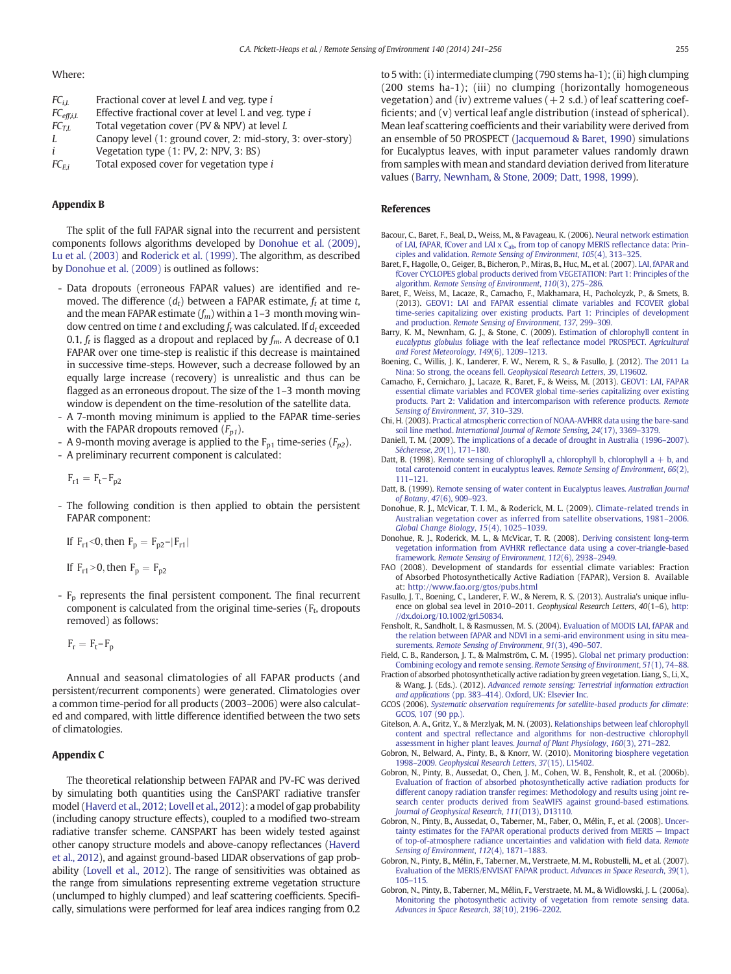<span id="page-14-0"></span>Where:

| $FC_{i.L.}$    | Fractional cover at level L and veg, type i                 |
|----------------|-------------------------------------------------------------|
| $FC_{eff,i,L}$ | Effective fractional cover at level L and veg. type i       |
| $FC_{TI}$      | Total vegetation cover (PV & NPV) at level L                |
| L              | Canopy level (1: ground cover, 2: mid-story, 3: over-story) |
| $\mathbf{i}$   | Vegetation type $(1; PV, 2; NPV, 3; BS)$                    |
| $E\cap$        | Total expected cover for vegetation type i                  |

#### $FC_{Fi}$  and total exposed cover for vegetation type is

#### Appendix B

The split of the full FAPAR signal into the recurrent and persistent components follows algorithms developed by Donohue et al. (2009), [Lu et al. \(2003\)](#page-15-0) and [Roderick et al. \(1999\).](#page-15-0) The algorithm, as described by Donohue et al. (2009) is outlined as follows:

- Data dropouts (erroneous FAPAR values) are identified and removed. The difference  $(d_t)$  between a FAPAR estimate,  $f_t$  at time t, and the mean FAPAR estimate  $(f_m)$  within a 1–3 month moving window centred on time t and excluding  $f_t$  was calculated. If  $d_t$  exceeded 0.1,  $f_t$  is flagged as a dropout and replaced by  $f_m$ . A decrease of 0.1 FAPAR over one time-step is realistic if this decrease is maintained in successive time-steps. However, such a decrease followed by an equally large increase (recovery) is unrealistic and thus can be flagged as an erroneous dropout. The size of the 1–3 month moving window is dependent on the time-resolution of the satellite data.
- A 7-month moving minimum is applied to the FAPAR time-series with the FAPAR dropouts removed  $(F_{p1})$ .
- A 9-month moving average is applied to the  $F_{p1}$  time-series ( $F_{p2}$ ).
- A preliminary recurrent component is calculated:

 $F_{r1} = F_{r} - F_{p2}$ 

- The following condition is then applied to obtain the persistent FAPAR component:

If  $F_{r1}$ <0, then  $F_p = F_{p2} - |F_{r1}|$ 

If  $F_{r1} > 0$ , then  $F_p = F_{p2}$ 

 $-F<sub>p</sub>$  represents the final persistent component. The final recurrent component is calculated from the original time-series  $(F_t, dropouts)$ removed) as follows:

$$
F_r=F_t\hbox{-} F_p
$$

Annual and seasonal climatologies of all FAPAR products (and persistent/recurrent components) were generated. Climatologies over a common time-period for all products (2003–2006) were also calculated and compared, with little difference identified between the two sets of climatologies.

# Appendix C

The theoretical relationship between FAPAR and PV-FC was derived by simulating both quantities using the CanSPART radiative transfer model ([Haverd et al., 2012; Lovell et al., 2012](#page-15-0)): a model of gap probability (including canopy structure effects), coupled to a modified two-stream radiative transfer scheme. CANSPART has been widely tested against other canopy structure models and above-canopy reflectances [\(Haverd](#page-15-0) [et al., 2012\)](#page-15-0), and against ground-based LIDAR observations of gap probability ([Lovell et al., 2012](#page-15-0)). The range of sensitivities was obtained as the range from simulations representing extreme vegetation structure (unclumped to highly clumped) and leaf scattering coefficients. Specifically, simulations were performed for leaf area indices ranging from 0.2 to 5 with: (i) intermediate clumping (790 stems ha-1); (ii) high clumping (200 stems ha-1); (iii) no clumping (horizontally homogeneous vegetation) and (iv) extreme values  $(+2 \text{ s.d.})$  of leaf scattering coefficients; and (v) vertical leaf angle distribution (instead of spherical). Mean leaf scattering coefficients and their variability were derived from an ensemble of 50 PROSPECT [\(Jacquemoud & Baret, 1990\)](#page-15-0) simulations for Eucalyptus leaves, with input parameter values randomly drawn from samples with mean and standard deviation derived from literature values (Barry, Newnham, & Stone, 2009; Datt, 1998, 1999).

#### References

- Bacour, C., Baret, F., Beal, D., Weiss, M., & Pavageau, K. (2006). [Neural network estimation](http://refhub.elsevier.com/S0034-4257(13)00295-2/rf0005) of LAI, fAPAR, fCover and LAI x  $C_{ab}$ , from top of canopy MERIS reflectance data: Prin-
- ciples and validation. [Remote Sensing of Environment](http://refhub.elsevier.com/S0034-4257(13)00295-2/rf0005), 105(4), 313–325. Baret, F., Hagolle, O., Geiger, B., Bicheron, P., Miras, B., Huc, M., et al. (2007). [LAI, fAPAR and](http://refhub.elsevier.com/S0034-4257(13)00295-2/rf0010) [fCover CYCLOPES global products derived from VEGETATION: Part 1: Principles of the](http://refhub.elsevier.com/S0034-4257(13)00295-2/rf0010) algorithm. [Remote Sensing of Environment](http://refhub.elsevier.com/S0034-4257(13)00295-2/rf0010), 110(3), 275–286.
- Baret, F., Weiss, M., Lacaze, R., Camacho, F., Makhamara, H., Pacholcyzk, P., & Smets, B. (2013). [GEOV1: LAI and FAPAR essential climate variables and FCOVER global](http://refhub.elsevier.com/S0034-4257(13)00295-2/rf0340) [time-series capitalizing over existing products. Part 1: Principles of development](http://refhub.elsevier.com/S0034-4257(13)00295-2/rf0340) and production. [Remote Sensing of Environment](http://refhub.elsevier.com/S0034-4257(13)00295-2/rf0340), 137, 299–309.
- Barry, K. M., Newnham, G. J., & Stone, C. (2009). [Estimation of chlorophyll content in](http://refhub.elsevier.com/S0034-4257(13)00295-2/rf0015) eucalyptus globulus foliage with the leaf refl[ectance model PROSPECT.](http://refhub.elsevier.com/S0034-4257(13)00295-2/rf0015) Agricultural [and Forest Meteorology](http://refhub.elsevier.com/S0034-4257(13)00295-2/rf0015), 149(6), 1209–1213.
- Boening, C., Willis, J. K., Landerer, F. W., Nerem, R. S., & Fasullo, J. (2012). [The 2011 La](http://refhub.elsevier.com/S0034-4257(13)00295-2/rf0020) [Nina: So strong, the oceans fell.](http://refhub.elsevier.com/S0034-4257(13)00295-2/rf0020) Geophysical Research Letters, 39, L19602.
- Camacho, F., Cernicharo, J., Lacaze, R., Baret, F., & Weiss, M. (2013). [GEOV1: LAI, FAPAR](http://refhub.elsevier.com/S0034-4257(13)00295-2/rf9000) [essential climate variables and FCOVER global time-series capitalizing over existing](http://refhub.elsevier.com/S0034-4257(13)00295-2/rf9000) [products. Part 2: Validation and intercomparison with reference products.](http://refhub.elsevier.com/S0034-4257(13)00295-2/rf9000) Remote [Sensing of Environment](http://refhub.elsevier.com/S0034-4257(13)00295-2/rf9000), 37, 310–329.
- Chi, H. (2003). [Practical atmospheric correction of NOAA-AVHRR data using the bare-sand](http://refhub.elsevier.com/S0034-4257(13)00295-2/rf0025) soil line method. [International Journal of Remote Sensing](http://refhub.elsevier.com/S0034-4257(13)00295-2/rf0025), 24(17), 3369–3379.
- Daniell, T. M. (2009). [The implications of a decade of drought in Australia \(1996](http://refhub.elsevier.com/S0034-4257(13)00295-2/rf0030)–2007). [Sécheresse](http://refhub.elsevier.com/S0034-4257(13)00295-2/rf0030), 20(1), 171–180.
- Datt, B. (1998). Remote sensing of chlorophyll a, chlorophyll b, chlorophyll a  $+$  b, and [total carotenoid content in eucalyptus leaves.](http://refhub.elsevier.com/S0034-4257(13)00295-2/rf0035) Remote Sensing of Environment, 66(2), 111–[121.](http://refhub.elsevier.com/S0034-4257(13)00295-2/rf0035)
- Datt, B. (1999). [Remote sensing of water content in Eucalyptus leaves.](http://refhub.elsevier.com/S0034-4257(13)00295-2/rf0040) Australian Journal [of Botany](http://refhub.elsevier.com/S0034-4257(13)00295-2/rf0040), 47(6), 909–923.
- Donohue, R. J., McVicar, T. I. M., & Roderick, M. L. (2009). [Climate-related trends in](http://refhub.elsevier.com/S0034-4257(13)00295-2/rf0050) [Australian vegetation cover as inferred from satellite observations, 1981](http://refhub.elsevier.com/S0034-4257(13)00295-2/rf0050)–2006. [Global Change Biology](http://refhub.elsevier.com/S0034-4257(13)00295-2/rf0050), 15(4), 1025–1039.
- Donohue, R. J., Roderick, M. L., & McVicar, T. R. (2008). [Deriving consistent long-term](http://refhub.elsevier.com/S0034-4257(13)00295-2/rf0045) vegetation information from AVHRR refl[ectance data using a cover-triangle-based](http://refhub.elsevier.com/S0034-4257(13)00295-2/rf0045) framework. [Remote Sensing of Environment](http://refhub.elsevier.com/S0034-4257(13)00295-2/rf0045), 112(6), 2938–2949.
- FAO (2008). Development of standards for essential climate variables: Fraction of Absorbed Photosynthetically Active Radiation (FAPAR), Version 8. Available at: <http://www.fao.org/gtos/pubs.html>
- Fasullo, J. T., Boening, C., Landerer, F. W., & Nerem, R. S. (2013). Australia's unique influence on global sea level in 2010–2011. Geophysical Research Letters, 40(1–6), http: //dx.doi.org[/10.1002/grl.50834.](http://dx.doi.org/10.1002/grl.50834)
- Fensholt, R., Sandholt, I., & Rasmussen, M. S. (2004). [Evaluation of MODIS LAI, fAPAR and](http://refhub.elsevier.com/S0034-4257(13)00295-2/rf0060) [the relation between fAPAR and NDVI in a semi-arid environment using in situ mea](http://refhub.elsevier.com/S0034-4257(13)00295-2/rf0060)surements. [Remote Sensing of Environment](http://refhub.elsevier.com/S0034-4257(13)00295-2/rf0060), 91(3), 490–507.
- Field, C. B., Randerson, J. T., & Malmström, C. M. (1995). [Global net primary production:](http://refhub.elsevier.com/S0034-4257(13)00295-2/rf0065) [Combining ecology and remote sensing.](http://refhub.elsevier.com/S0034-4257(13)00295-2/rf0065) Remote Sensing of Environment, 51(1), 74–88.
- Fraction of absorbed photosynthetically active radiation by green vegetation. Liang, S., Li, X., & Wang, J. (Eds.). (2012). [Advanced remote sensing: Terrestrial information extraction](http://refhub.elsevier.com/S0034-4257(13)00295-2/rf0370) and applications (pp. 383–[414\). Oxford, UK: Elsevier Inc.](http://refhub.elsevier.com/S0034-4257(13)00295-2/rf0370)
- GCOS (2006). [Systematic observation requirements for satellite-based products for climate](http://refhub.elsevier.com/S0034-4257(13)00295-2/rf0350): [GCOS, 107 \(90 pp.\).](http://refhub.elsevier.com/S0034-4257(13)00295-2/rf0350)
- Gitelson, A. A., Gritz, Y., & Merzlyak, M. N. (2003). [Relationships between leaf chlorophyll](http://refhub.elsevier.com/S0034-4257(13)00295-2/rf0075) content and spectral refl[ectance and algorithms for non-destructive chlorophyll](http://refhub.elsevier.com/S0034-4257(13)00295-2/rf0075) [assessment in higher plant leaves.](http://refhub.elsevier.com/S0034-4257(13)00295-2/rf0075) Journal of Plant Physiology, 160(3), 271–282.
- Gobron, N., Belward, A., Pinty, B., & Knorr, W. (2010). [Monitoring biosphere vegetation](http://refhub.elsevier.com/S0034-4257(13)00295-2/rf0115) 1998–2009. [Geophysical Research Letters](http://refhub.elsevier.com/S0034-4257(13)00295-2/rf0115), 37(15), L15402.
- Gobron, N., Pinty, B., Aussedat, O., Chen, J. M., Cohen, W. B., Fensholt, R., et al. (2006b). [Evaluation of fraction of absorbed photosynthetically active radiation products for](http://refhub.elsevier.com/S0034-4257(13)00295-2/rf0100) [different canopy radiation transfer regimes: Methodology and results using joint re](http://refhub.elsevier.com/S0034-4257(13)00295-2/rf0100)[search center products derived from SeaWIFS against ground-based estimations.](http://refhub.elsevier.com/S0034-4257(13)00295-2/rf0100) [Journal of Geophysical Research](http://refhub.elsevier.com/S0034-4257(13)00295-2/rf0100), 111(D13), D13110.
- Gobron, N., Pinty, B., Aussedat, O., Taberner, M., Faber, O., Mélin, F., et al. (2008). [Uncer](http://refhub.elsevier.com/S0034-4257(13)00295-2/rf0110)[tainty estimates for the FAPAR operational products derived from MERIS](http://refhub.elsevier.com/S0034-4257(13)00295-2/rf0110) — Impact [of top-of-atmosphere radiance uncertainties and validation with](http://refhub.elsevier.com/S0034-4257(13)00295-2/rf0110) field data. Remote [Sensing of Environment](http://refhub.elsevier.com/S0034-4257(13)00295-2/rf0110), 112(4), 1871–1883.
- Gobron, N., Pinty, B., Mélin, F., Taberner, M., Verstraete, M. M., Robustelli, M., et al. (2007). [Evaluation of the MERIS/ENVISAT FAPAR product.](http://refhub.elsevier.com/S0034-4257(13)00295-2/rf0105) Advances in Space Research, 39(1), 105–[115.](http://refhub.elsevier.com/S0034-4257(13)00295-2/rf0105)
- Gobron, N., Pinty, B., Taberner, M., Mélin, F., Verstraete, M. M., & Widlowski, J. L. (2006a). [Monitoring the photosynthetic activity of vegetation from remote sensing data.](http://refhub.elsevier.com/S0034-4257(13)00295-2/rf0095) [Advances in Space Research](http://refhub.elsevier.com/S0034-4257(13)00295-2/rf0095), 38(10), 2196–2202.